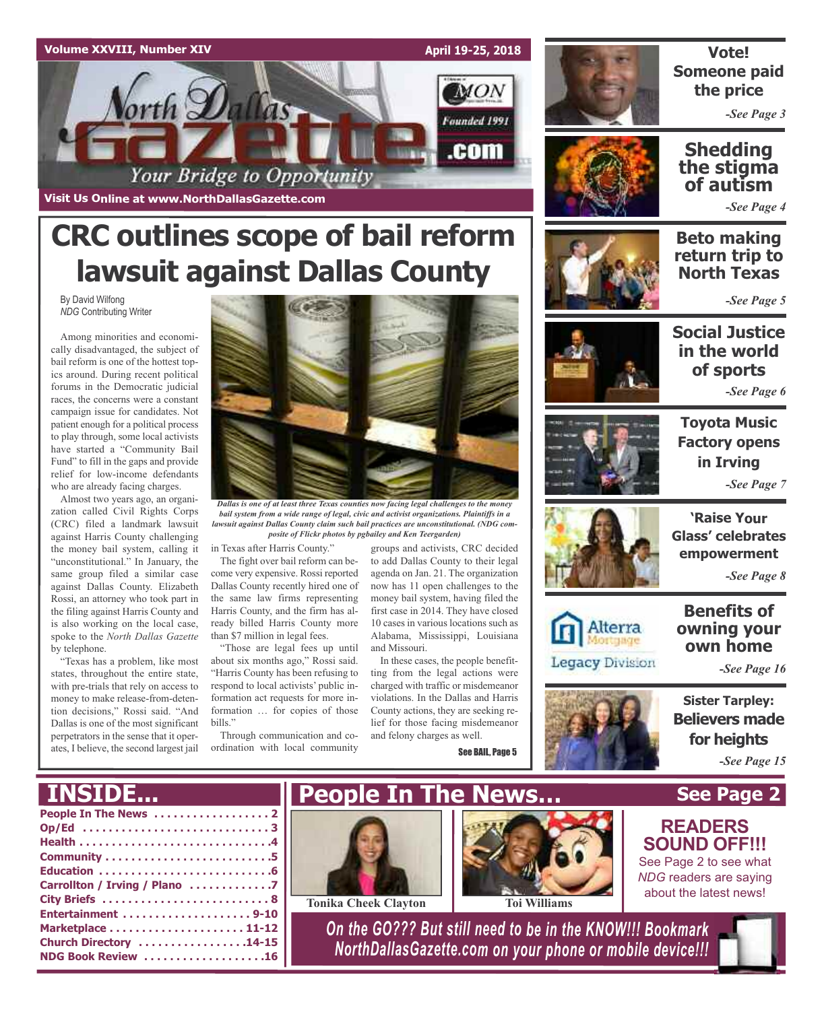

# **CRC outlines scope of bail reform lawsuit against Dallas County**

By David Wilfong *NDG* Contributing Writer

Among minorities and economically disadvantaged, the subject of bail reform is one of the hottest topics around. During recent political forums in the Democratic judicial races, the concerns were a constant campaign issue for candidates. Not patient enough for a political process to play through, some local activists have started a "Community Bail Fund" to fill in the gaps and provide relief for low-income defendants who are already facing charges.

Almost two years ago, an organization called Civil Rights Corps (CRC) filed a landmark lawsuit against Harris County challenging the money bail system, calling it "unconstitutional." In January, the same group filed a similar case against Dallas County. Elizabeth Rossi, an attorney who took part in the filing against Harris County and is also working on the local case, spoke to the *North Dallas Gazette* by telephone.

"Texas has a problem, like most states, throughout the entire state, with pre-trials that rely on access to money to make release-from-detention decisions," Rossi said. "And Dallas is one of the most significant perpetrators in the sense that it operates, I believe, the second largest jail



*Dallas is one of at least three Texas counties now facing legal challenges to the money bail system from a wide range of legal, civic and activist organizations. Plaintiffs in a lawsuit against Dallas County claim such bail practices are unconstitutional. (NDG composite of Flickr photos by pgbailey and Ken Teergarden)*

in Texas after Harris County."

The fight over bail reform can become very expensive. Rossi reported Dallas County recently hired one of the same law firms representing Harris County, and the firm has already billed Harris County more than \$7 million in legal fees.

"Those are legal fees up until about six months ago," Rossi said. "Harris County has been refusing to respond to local activists' public information act requests for more information … for copies of those bills."

Through communication and coordination with local community

groups and activists, CRC decided to add Dallas County to their legal agenda on Jan. 21. The organization now has 11 open challenges to the money bail system, having filed the first case in 2014. They have closed 10 cases in various locations such as Alabama, Mississippi, Louisiana and Missouri.

In these cases, the people benefitting from the legal actions were charged with traffic or misdemeanor violations. In the Dallas and Harris County actions, they are seeking relief for those facing misdemeanor and felony charges as well.

See BAIL, Page 5



# **Vote! Someone paid the price**

*-See Page 3*

# **Shedding the stigma of autism**

*-See Page 4*

**Beto making return trip to North Texas**

*-See Page 5*



**Social Justice in the world of sports**

*-See Page 6*





Alterra

**Legacy Division** 

**'Raise Your Glass' celebrates empowerment**

*-See Page 8*

# **Benefits of owning your own home**

*-See Page 16*

**Sister Tarpley: Believers made for heights** *-See Page 15*

**See Page 2**

**READERS SOUND OFF!!!** See Page 2 to see what *NDG* readers are saying about the latest news!

# **INSIDE...**

| Op/Ed 3                       |  |
|-------------------------------|--|
|                               |  |
|                               |  |
|                               |  |
| Carrollton / Irving / Plano 7 |  |
|                               |  |
|                               |  |
|                               |  |
| Church Directory 14-15        |  |
| NDG Book Review 16            |  |







*On the GO??? But still need to be in the KNOW!!! Bookmark NorthDallasGazette.com on your phone or mobile device!!!*

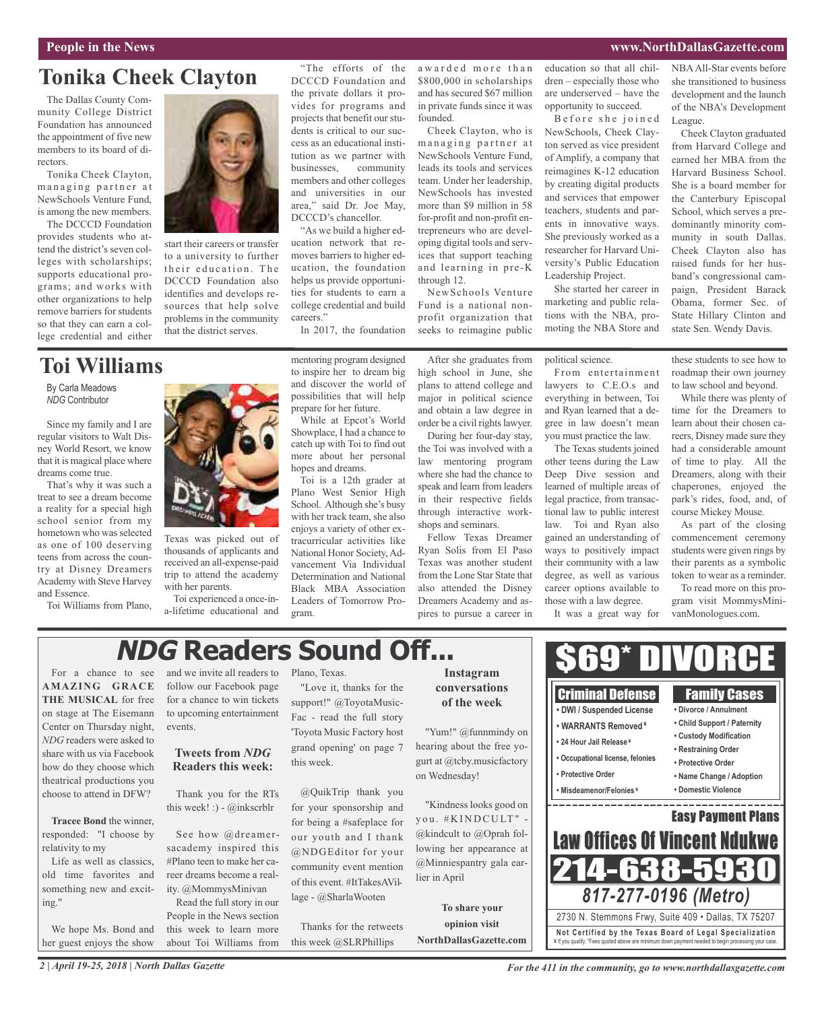#### **People in the News www.NorthDallasGazette.com**

League.

NBAAll-Star events before she transitioned to business development and the launch of the NBA's Development

Cheek Clayton graduated from Harvard College and earned her MBA from the Harvard Business School. She is a board member for the Canterbury Episcopal School, which serves a predominantly minority community in south Dallas. Cheek Clayton also has raised funds for her husband's congressional campaign, President Barack Obama, former Sec. of State Hillary Clinton and state Sen. Wendy Davis.

# **Tonika Cheek Clayton**

The Dallas County Community College District Foundation has announced the appointment of five new members to its board of directors.

Tonika Cheek Clayton, managing partner at NewSchools Venture Fund, is among the new members.

The DCCCD Foundation provides students who attend the district's seven colleges with scholarships; supports educational programs; and works with other organizations to help remove barriers for students so that they can earn a college credential and either



By Carla Meadows *NDG* Contributor

Since my family and I are regular visitors to Walt Disney World Resort, we know that it is magical place where dreams come true.

That's why it was such a treat to see a dream become a reality for a special high school senior from my hometown who was selected as one of 100 deserving teens from across the country at Disney Dreamers Academy with Steve Harvey and Essence.

Toi Williams from Plano,



start their careers or transfer to a university to further their education. The DCCCD Foundation also identifies and develops resources that help solve problems in the community that the district serves.

DCCCD Foundation and the private dollars it provides for programs and projects that benefit our students is critical to our success as an educational institution as we partner with businesses, community members and other colleges and universities in our area," said Dr. Joe May, DCCCD's chancellor.

"The efforts of the

"As we build a higher education network that removes barriers to higher education, the foundation helps us provide opportunities for students to earn a college credential and build careers."

In 2017, the foundation

awarded more than \$800,000 in scholarships and has secured \$67 million in private funds since it was founded.

Cheek Clayton, who is managing partner at NewSchools Venture Fund, leads its tools and services team. Under her leadership, NewSchools has invested more than \$9 million in 58 for-profit and non-profit entrepreneurs who are developing digital tools and services that support teaching and learning in pre-K through 12.

NewSchools Venture Fund is a national nonprofit organization that seeks to reimagine public

high school in June, she plans to attend college and major in political science and obtain a law degree in order be a civil rights lawyer.

the Toi was involved with a law mentoring program where she had the chance to speak and learn from leaders in their respective fields through interactive workshops and seminars.

pires to pursue a career in

education so that all children – especially those who are underserved – have the opportunity to succeed.

Before she joined NewSchools, Cheek Clayton served as vice president of Amplify, a company that reimagines K-12 education by creating digital products and services that empower teachers, students and parents in innovative ways. She previously worked as a researcher for Harvard University's Public Education Leadership Project.

She started her career in marketing and public relations with the NBA, promoting the NBA Store and

political science.

From entertainment lawyers to C.E.O.s and everything in between, Toi and Ryan learned that a degree in law doesn't mean you must practice the law.

The Texas students joined other teens during the Law Deep Dive session and learned of multiple areas of legal practice, from transactional law to public interest law. Toi and Ryan also gained an understanding of ways to positively impact their community with a law degree, as well as various career options available to those with a law degree.

It was a great way for

these students to see how to roadmap their own journey to law school and beyond.

While there was plenty of time for the Dreamers to learn about their chosen careers, Disney made sure they had a considerable amount of time to play. All the Dreamers, along with their chaperones, enjoyed the park's rides, food, and, of course Mickey Mouse.

As part of the closing commencement ceremony students were given rings by their parents as a symbolic token to wear as a reminder.

To read more on this program visit MommysMinivanMonologues.com.

# **NDG Readers Sound Off...**

For a chance to see **AMAZING GRACE THE MUSICAL** for free on stage at The Eisemann Center on Thursday night, *NDG* readers were asked to share with us via Facebook how do they choose which theatrical productions you choose to attend in DFW?

**Tracee Bond** the winner, responded: "I choose by relativity to my

Life as well as classics, old time favorites and something new and exciting."

We hope Ms. Bond and her guest enjoys the show

and we invite all readers to follow our Facebook page for a chance to win tickets to upcoming entertainment events.

Texas was picked out of thousands of applicants and received an all-expense-paid trip to attend the academy

Toi experienced a once-ina-lifetime educational and

with her parents.

### **Tweets from** *NDG* **Readers this week:**

Thank you for the RTs this week! :) - @inkscrblr

See how @dreamersacademy inspired this #Plano teen to make her career dreams become a reality. @MommysMinivan

Read the full story in our People in the News section this week to learn more about Toi Williams from Plano, Texas.

"Love it, thanks for the support!" @ToyotaMusic-Fac - read the full story 'Toyota Music Factory host grand opening' on page 7 this week.

@QuikTrip thank you for your sponsorship and for being a #safeplace for our youth and I thank @NDGEditor for your community event mention of this event. #ItTakesAVillage - @SharlaWooten

Thanks for the retweets this week @SLRPhillips

## **Instagram conversations of the week**

"Yum!" @funnmindy on hearing about the free yogurt at @tcby.musicfactory on Wednesday!

"Kindness looks good on you. #KINDCULT" -@kindcult to @Oprah following her appearance at @Minniespantry gala earlier in April

**To share your opinion visit NorthDallasGazette.com**



*For the 411 in the community, go to www.northdallasgazette.com*

to inspire her to dream big and discover the world of possibilities that will help prepare for her future. While at Epcot's World Showplace, I had a chance to

catch up with Toi to find out more about her personal hopes and dreams. Toi is a 12th grader at Plano West Senior High School. Although she's busy

with her track team, she also enjoys a variety of other extracurricular activities like National Honor Society,Advancement Via Individual Determination and National Black MBA Association Leaders of Tomorrow Program.

mentoring program designed

During her four-day stay,

Fellow Texas Dreamer Ryan Solis from El Paso Texas was another student from the Lone Star State that also attended the Disney Dreamers Academy and as-

After she graduates from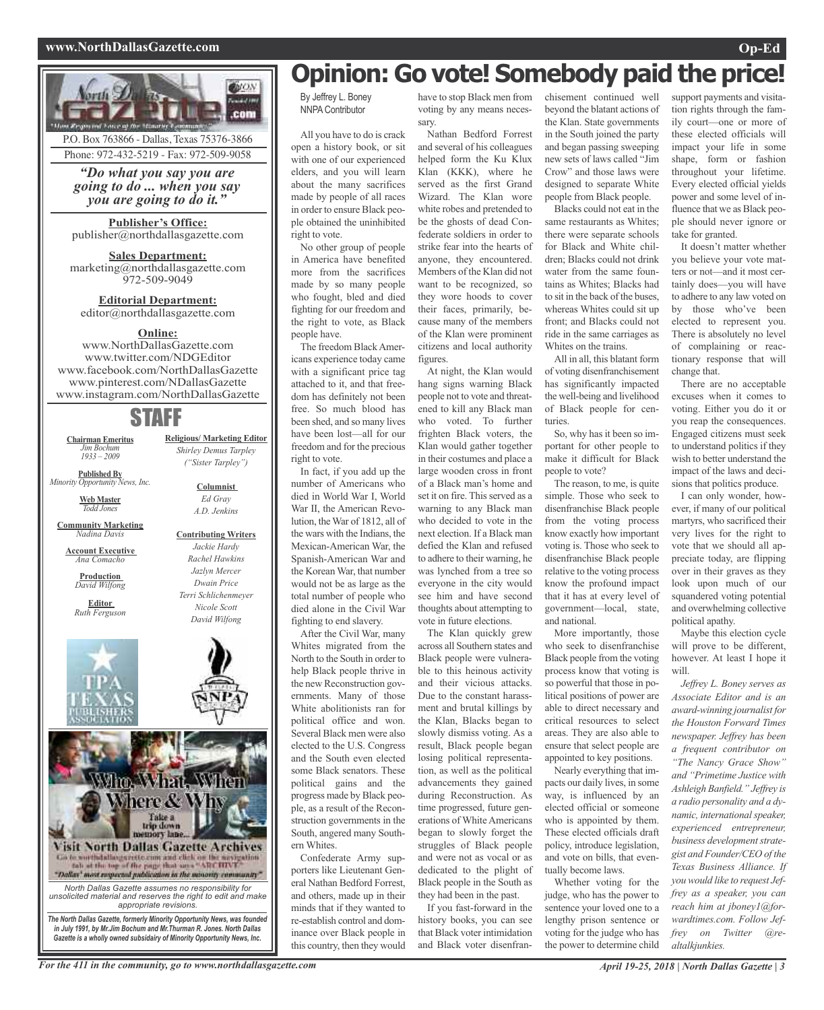#### **www.NorthDallasGazette.com Op-Ed**





# **Opinion: Go vote! Somebody paid the price!**

By Jeffrey L. Boney NNPA Contributor

All you have to do is crack open a history book, or sit with one of our experienced elders, and you will learn about the many sacrifices made by people of all races in order to ensure Black people obtained the uninhibited right to vote.

No other group of people in America have benefited more from the sacrifices made by so many people who fought, bled and died fighting for our freedom and the right to vote, as Black people have.

The freedom BlackAmericans experience today came with a significant price tag attached to it, and that freedom has definitely not been free. So much blood has been shed, and so many lives have been lost—all for our freedom and for the precious right to vote.

In fact, if you add up the number of Americans who died in World War I, World War II, the American Revolution, theWar of 1812, all of the wars with the Indians, the Mexican-American War, the Spanish-American War and the Korean War, that number would not be as large as the total number of people who died alone in the Civil War fighting to end slavery.

After the Civil War, many Whites migrated from the North to the South in order to help Black people thrive in the new Reconstruction governments. Many of those White abolitionists ran for political office and won. Several Black men were also elected to the U.S. Congress and the South even elected some Black senators. These political gains and the progress made by Black people, as a result of the Reconstruction governments in the South, angered many Southern Whites.

Confederate Army supporters like Lieutenant General Nathan Bedford Forrest, and others, made up in their minds that if they wanted to re-establish control and dominance over Black people in this country, then they would

have to stop Black men from voting by any means necessary.

Nathan Bedford Forrest and several of his colleagues helped form the Ku Klux Klan (KKK), where he served as the first Grand Wizard. The Klan wore white robes and pretended to be the ghosts of dead Confederate soldiers in order to strike fear into the hearts of anyone, they encountered. Members of the Klan did not want to be recognized, so they wore hoods to cover their faces, primarily, because many of the members of the Klan were prominent citizens and local authority figures.

At night, the Klan would hang signs warning Black people not to vote and threatened to kill any Black man who voted. To further frighten Black voters, the Klan would gather together in their costumes and place a large wooden cross in front of a Black man's home and set it on fire. This served as a warning to any Black man who decided to vote in the next election. If a Black man defied the Klan and refused to adhere to their warning, he was lynched from a tree so everyone in the city would see him and have second thoughts about attempting to vote in future elections.

The Klan quickly grew across all Southern states and Black people were vulnerable to this heinous activity and their vicious attacks. Due to the constant harassment and brutal killings by the Klan, Blacks began to slowly dismiss voting. As a result, Black people began losing political representation, as well as the political advancements they gained during Reconstruction. As time progressed, future generations of White Americans began to slowly forget the struggles of Black people and were not as vocal or as dedicated to the plight of Black people in the South as they had been in the past.

If you fast-forward in the history books, you can see that Black voter intimidation and Black voter disenfranchisement continued well beyond the blatant actions of the Klan. State governments in the South joined the party and began passing sweeping new sets of laws called "Jim Crow" and those laws were designed to separate White people from Black people.

Blacks could not eat in the same restaurants as Whites; there were separate schools for Black and White children; Blacks could not drink water from the same fountains as Whites; Blacks had to sit in the back of the buses, whereas Whites could sit up front; and Blacks could not ride in the same carriages as Whites on the trains.

All in all, this blatant form of voting disenfranchisement has significantly impacted the well-being and livelihood of Black people for centuries.

So, why has it been so important for other people to make it difficult for Black people to vote?

The reason, to me, is quite simple. Those who seek to disenfranchise Black people from the voting process know exactly how important voting is. Those who seek to disenfranchise Black people relative to the voting process know the profound impact that it has at every level of government—local, state, and national.

More importantly, those who seek to disenfranchise Black people from the voting process know that voting is so powerful that those in political positions of power are able to direct necessary and critical resources to select areas. They are also able to ensure that select people are appointed to key positions.

Nearly everything that impacts our daily lives, in some way, is influenced by an elected official or someone who is appointed by them. These elected officials draft policy, introduce legislation, and vote on bills, that eventually become laws.

Whether voting for the judge, who has the power to sentence your loved one to a lengthy prison sentence or voting for the judge who has the power to determine child

support payments and visitation rights through the family court—one or more of these elected officials will impact your life in some shape, form or fashion throughout your lifetime. Every elected official yields power and some level of influence that we as Black people should never ignore or take for granted.

It doesn't matter whether you believe your vote matters or not—and it most certainly does—you will have to adhere to any law voted on by those who've been elected to represent you. There is absolutely no level of complaining or reactionary response that will change that.

There are no acceptable excuses when it comes to voting. Either you do it or you reap the consequences. Engaged citizens must seek to understand politics if they wish to better understand the impact of the laws and decisions that politics produce.

I can only wonder, however, if many of our political martyrs, who sacrificed their very lives for the right to vote that we should all appreciate today, are flipping over in their graves as they look upon much of our squandered voting potential and overwhelming collective political apathy.

Maybe this election cycle will prove to be different, however. At least I hope it will.

*Jeffrey L. Boney serves as Associate Editor and is an award-winning journalist for the Houston Forward Times newspaper. Jeffrey has been a frequent contributor on "The Nancy Grace Show" and "Primetime Justice with Ashleigh Banfield." Jeffrey is a radio personality and a dynamic, internationalspeaker, experienced entrepreneur,*  $b$ *usiness development strategist and Founder/CEO of the Texas Business Alliance. If you would like to request Jeffrey as a speaker, you can reach him at jboney1@forwardtimes.com. Follow Jeffrey on Twitter @realtalkjunkies.*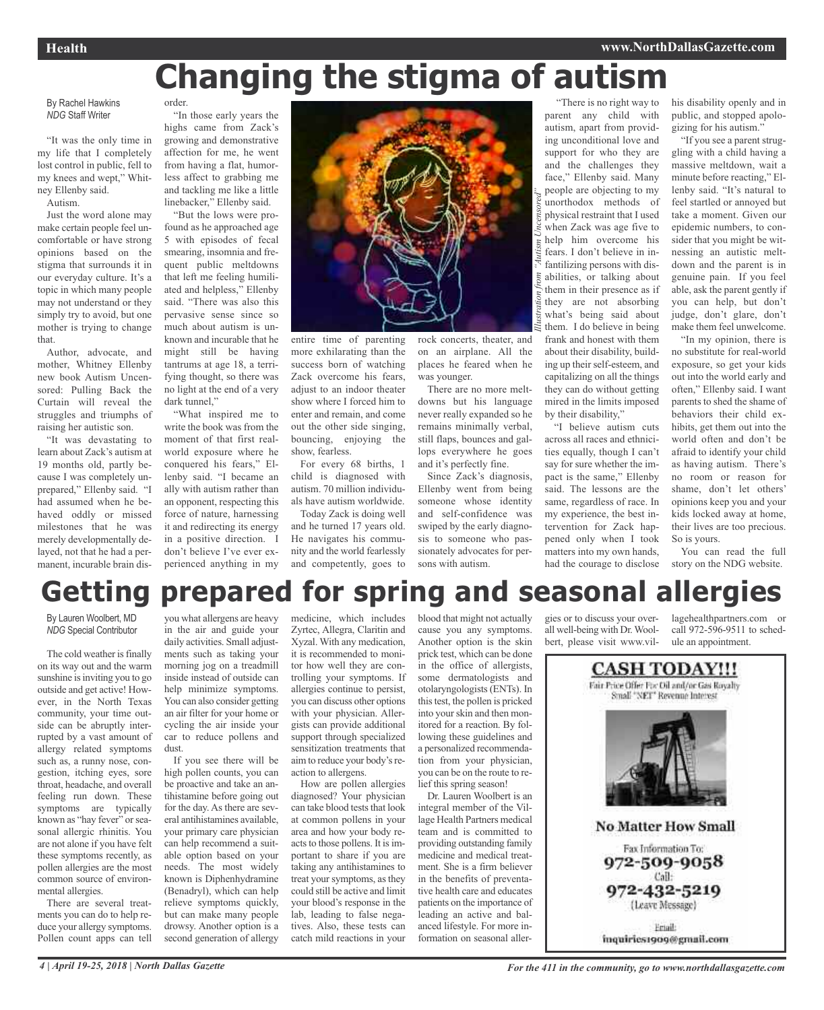# **Changing the stigma of autism**

By Rachel Hawkins *NDG* Staff Writer

"It was the only time in my life that I completely lost control in public, fell to my knees and wept," Whitney Ellenby said.

Autism.

Just the word alone may make certain people feel uncomfortable or have strong opinions based on the stigma that surrounds it in our everyday culture. It's a topic in which many people may not understand or they simply try to avoid, but one mother is trying to change that.

Author, advocate, and mother, Whitney Ellenby new book Autism Uncensored: Pulling Back the Curtain will reveal the struggles and triumphs of raising her autistic son.

"It was devastating to learn about Zack's autism at 19 months old, partly because I was completely unprepared," Ellenby said. "I had assumed when he behaved oddly or missed milestones that he was merely developmentally delayed, not that he had a permanent, incurable brain dis-

order. "In those early years the highs came from Zack's growing and demonstrative

affection for me, he went from having a flat, humorless affect to grabbing me and tackling me like a little linebacker," Ellenby said.

"But the lows were profound as he approached age 5 with episodes of fecal smearing, insomnia and frequent public meltdowns that left me feeling humiliated and helpless," Ellenby said. "There was also this pervasive sense since so much about autism is unknown and incurable that he might still be having tantrums at age 18, a terrifying thought, so there was no light at the end of a very dark tunnel,"

"What inspired me to write the book was from the moment of that first realworld exposure where he conquered his fears," Ellenby said. "I became an ally with autism rather than an opponent, respecting this force of nature, harnessing it and redirecting its energy in a positive direction. I don't believe I've ever experienced anything in my



entire time of parenting more exhilarating than the success born of watching Zack overcome his fears, adjust to an indoor theater show where I forced him to enter and remain, and come out the other side singing, bouncing, enjoying the show, fearless.

For every 68 births, 1 child is diagnosed with autism. 70 million individuals have autism worldwide.

Today Zack is doing well and he turned 17 years old. He navigates his community and the world fearlessly and competently, goes to

rock concerts, theater, and on an airplane. All the places he feared when he was younger.

There are no more meltdowns but his language never really expanded so he remains minimally verbal, still flaps, bounces and gallops everywhere he goes and it's perfectly fine.

Since Zack's diagnosis, Ellenby went from being someone whose identity and self-confidence was swiped by the early diagnosis to someone who passionately advocates for persons with autism.

"There is no right way to parent any child with autism, apart from providing unconditional love and support for who they are and the challenges they face," Ellenby said. Many people are objecting to my unorthodox methods of physical restraint that I used when Zack was age five to help him overcome his fears. I don't believe in infantilizing persons with disabilities, or talking about them in their presence as if they are not absorbing what's being said about them. I do believe in being frank and honest with them about their disability, building up their self-esteem, and capitalizing on all the things they can do without getting mired in the limits imposed by their disability," *Illustration from "Autism Uncensored"*

"I believe autism cuts across all races and ethnicities equally, though I can't say for sure whether the impact is the same," Ellenby said. The lessons are the same, regardless of race. In my experience, the best intervention for Zack happened only when I took matters into my own hands, had the courage to disclose his disability openly and in public, and stopped apologizing for his autism."

"If you see a parent struggling with a child having a massive meltdown, wait a minute before reacting," Ellenby said. "It's natural to feel startled or annoyed but take a moment. Given our epidemic numbers, to consider that you might be witnessing an autistic meltdown and the parent is in genuine pain. If you feel able, ask the parent gently if you can help, but don't judge, don't glare, don't make them feel unwelcome.

"In my opinion, there is no substitute for real-world exposure, so get your kids out into the world early and often," Ellenby said. I want parents to shed the shame of behaviors their child exhibits, get them out into the world often and don't be afraid to identify your child as having autism. There's no room or reason for shame, don't let others' opinions keep you and your kids locked away at home, their lives are too precious. So is yours.

You can read the full story on the NDG website.

# **Getting prepared for spring and seasonal allergies**

By Lauren Woolbert, MD *NDG* Special Contributor

The cold weather is finally on its way out and the warm sunshine is inviting you to go outside and get active! However, in the North Texas community, your time outside can be abruptly interrupted by a vast amount of allergy related symptoms such as, a runny nose, congestion, itching eyes, sore throat, headache, and overall feeling run down. These symptoms are typically known as "hay fever" or seasonal allergic rhinitis. You are not alone if you have felt these symptoms recently, as pollen allergies are the most common source of environmental allergies.

There are several treatments you can do to help reduce your allergy symptoms. Pollen count apps can tell

you what allergens are heavy in the air and guide your daily activities. Small adjustments such as taking your morning jog on a treadmill inside instead of outside can help minimize symptoms. You can also consider getting an air filter for your home or cycling the air inside your car to reduce pollens and dust.

If you see there will be high pollen counts, you can be proactive and take an antihistamine before going out for the day. As there are several antihistamines available, your primary care physician can help recommend a suitable option based on your needs. The most widely known is Diphenhydramine (Benadryl), which can help relieve symptoms quickly, but can make many people drowsy. Another option is a second generation of allergy

medicine, which includes Zyrtec, Allegra, Claritin and Xyzal. With any medication, it is recommended to monitor how well they are controlling your symptoms. If allergies continue to persist, you can discuss other options with your physician. Allergists can provide additional support through specialized sensitization treatments that aim to reduce your body's reaction to allergens.

How are pollen allergies diagnosed? Your physician can take blood tests that look at common pollens in your area and how your body reacts to those pollens. It is important to share if you are taking any antihistamines to treat your symptoms, as they could still be active and limit your blood's response in the lab, leading to false negatives. Also, these tests can catch mild reactions in your

blood that might not actually cause you any symptoms. Another option is the skin prick test, which can be done in the office of allergists, some dermatologists and otolaryngologists(ENTs). In thistest, the pollen is pricked into yourskin and then monitored for a reaction. By following these guidelines and a personalized recommendation from your physician, you can be on the route to relief this spring season!

Dr. Lauren Woolbert is an integral member of the Village Health Partners medical team and is committed to providing outstanding family medicine and medical treatment. She is a firm believer in the benefits of preventative health care and educates patients on the importance of leading an active and balanced lifestyle. For more information on seasonal allergies or to discuss your overall well-being with Dr.Woolbert, please visit www.villagehealthpartners.com or call 972-596-9511 to schedule an appointment.

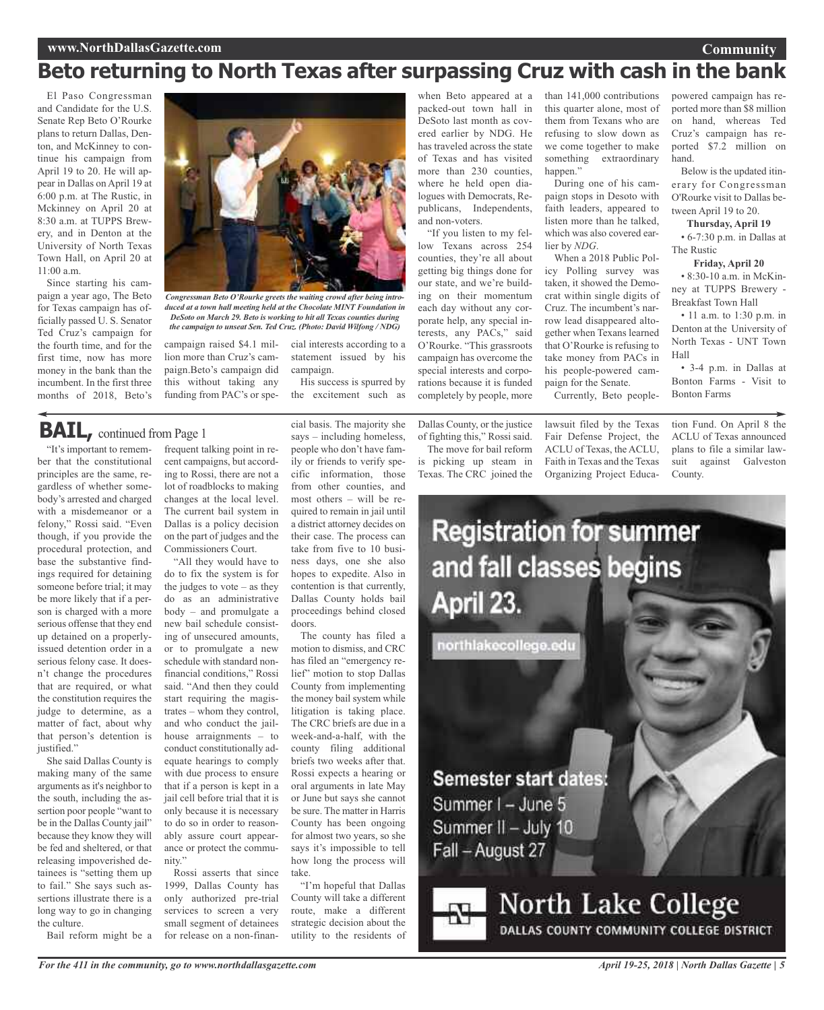### **www.NorthDallasGazette.com**

# **Beto returning to North Texas after surpassing Cruz with cash in the bank**

El Paso Congressman and Candidate for the U.S. Senate Rep Beto O'Rourke plans to return Dallas, Denton, and McKinney to continue his campaign from April 19 to 20. He will appear in Dallas on April 19 at 6:00 p.m. at The Rustic, in Mckinney on April 20 at 8:30 a.m. at TUPPS Brewery, and in Denton at the University of North Texas Town Hall, on April 20 at 11:00 a.m.

Since starting his campaign a year ago, The Beto for Texas campaign has officially passed U. S. Senator Ted Cruz's campaign for the fourth time, and for the first time, now has more money in the bank than the incumbent. In the first three months of 2018, Beto's



*Congressman Beto O'Rourke greets the waiting crowd after being introduced at a town hall meeting held at the Chocolate MINT Foundation in DeSoto on March 29. Beto is working to hit all Texas counties during the campaign to unseat Sen. Ted Cruz. (Photo: David Wilfong / NDG)*

campaign raised \$4.1 million more than Cruz's campaign.Beto's campaign did this without taking any funding from PAC's or spe-

cial interests according to a statement issued by his campaign.

His success is spurred by the excitement such as

# **BAIL,** continued from Page <sup>1</sup>

"It's important to remember that the constitutional principles are the same, regardless of whether somebody's arrested and charged with a misdemeanor or a felony," Rossi said. "Even though, if you provide the procedural protection, and base the substantive findings required for detaining someone before trial; it may be more likely that if a person is charged with a more serious offense that they end up detained on a properlyissued detention order in a serious felony case. It doesn't change the procedures that are required, or what the constitution requires the judge to determine, as a matter of fact, about why that person's detention is justified."

She said Dallas County is making many of the same arguments as it's neighbor to the south, including the assertion poor people "want to be in the Dallas County jail" because they know they will be fed and sheltered, or that releasing impoverished detainees is "setting them up to fail." She says such assertions illustrate there is a long way to go in changing the culture.

Bail reform might be a

frequent talking point in recent campaigns, but according to Rossi, there are not a lot of roadblocks to making changes at the local level. The current bail system in Dallas is a policy decision on the part of judges and the Commissioners Court.

"All they would have to do to fix the system is for the judges to vote  $-$  as they do as an administrative body – and promulgate a new bail schedule consisting of unsecured amounts, or to promulgate a new schedule with standard nonfinancial conditions," Rossi said. "And then they could start requiring the magistrates – whom they control, and who conduct the jailhouse arraignments – to conduct constitutionally adequate hearings to comply with due process to ensure that if a person is kept in a jail cell before trial that it is only because it is necessary to do so in order to reasonably assure court appearance or protect the community."

Rossi asserts that since 1999, Dallas County has only authorized pre-trial services to screen a very small segment of detainees for release on a non-financial basis. The majority she says – including homeless, people who don't have family or friends to verify specific information, those from other counties, and most others – will be required to remain in jail until a district attorney decides on their case. The process can take from five to 10 business days, one she also hopes to expedite. Also in contention is that currently, Dallas County holds bail proceedings behind closed doors.

The county has filed a motion to dismiss, and CRC has filed an "emergency relief" motion to stop Dallas County from implementing the money bail system while litigation is taking place. The CRC briefs are due in a week-and-a-half, with the county filing additional briefs two weeks after that. Rossi expects a hearing or oral arguments in late May or June but says she cannot be sure. The matter in Harris County has been ongoing for almost two years, so she says it's impossible to tell how long the process will take.

"I'm hopeful that Dallas County will take a different route, make a different strategic decision about the utility to the residents of

when Beto appeared at a packed-out town hall in DeSoto last month as covered earlier by NDG. He has traveled across the state of Texas and has visited more than 230 counties, where he held open dialogues with Democrats, Republicans, Independents, and non-voters.

"If you listen to my fellow Texans across 254 counties, they're all about getting big things done for our state, and we're building on their momentum each day without any corporate help, any special interests, any PACs," said O'Rourke. "This grassroots campaign has overcome the special interests and corporations because it is funded completely by people, more

Dallas County, or the justice of fighting this," Rossi said.

The move for bail reform is picking up steam in Texas. The CRC joined the than 141,000 contributions this quarter alone, most of them from Texans who are refusing to slow down as we come together to make something extraordinary happen."

During one of his campaign stops in Desoto with faith leaders, appeared to listen more than he talked, which was also covered earlier by *NDG*.

When a 2018 Public Policy Polling survey was taken, it showed the Democrat within single digits of Cruz. The incumbent's narrow lead disappeared altogether when Texans learned that O'Rourke is refusing to take money from PACs in his people-powered campaign for the Senate.

Currently, Beto people-

lawsuit filed by the Texas Fair Defense Project, the ACLU of Texas, the ACLU, Faith in Texas and the Texas Organizing Project Educa-

powered campaign has reported more than \$8 million on hand, whereas Ted Cruz's campaign has reported \$7.2 million on hand.

**Community**

Below is the updated itinerary for Congressman O'Rourke visit to Dallas between April 19 to 20.

**Thursday, April 19**

• 6-7:30 p.m. in Dallas at The Rustic

**Friday, April 20**

• 8:30-10 a.m. in McKinney at TUPPS Brewery - Breakfast Town Hall

• 11 a.m. to 1:30 p.m. in Denton at the University of North Texas - UNT Town Hall

• 3-4 p.m. in Dallas at Bonton Farms - Visit to Bonton Farms

tion Fund. On April 8 the ACLU of Texas announced plans to file a similar lawsuit against Galveston County.



Summer I - June 5 Summer II - July 10 Fall - August 27

# **North Lake College** DALLAS COUNTY COMMUNITY COLLEGE DISTRICT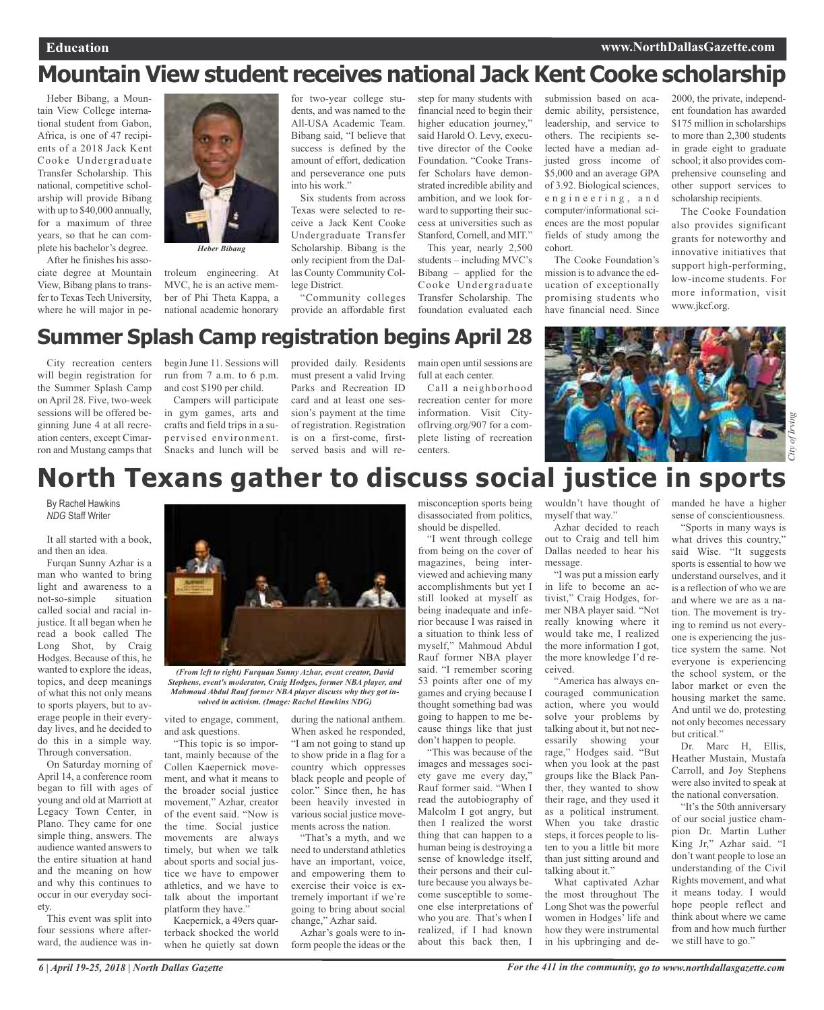# **Mountain View student receives national Jack Kent Cooke scholarship**

Heber Bibang, a Mountain View College international student from Gabon, Africa, is one of 47 recipients of a 2018 Jack Kent Cooke Undergraduate Transfer Scholarship. This national, competitive scholarship will provide Bibang with up to \$40,000 annually, for a maximum of three years, so that he can complete his bachelor's degree.

After he finishes his associate degree at Mountain View, Bibang plans to transfer to Texas Tech University, where he will major in pe-



*Heber Bibang*

troleum engineering. At MVC, he is an active member of Phi Theta Kappa, a national academic honorary

for two-year college students, and was named to the All-USA Academic Team. Bibang said, "I believe that success is defined by the amount of effort, dedication and perseverance one puts into his work."

Six students from across Texas were selected to receive a Jack Kent Cooke Undergraduate Transfer Scholarship. Bibang is the only recipient from the Dallas County Community College District.

"Community colleges provide an affordable first

step for many students with financial need to begin their higher education journey," said Harold O. Levy, executive director of the Cooke Foundation. "Cooke Transfer Scholars have demonstrated incredible ability and ambition, and we look forward to supporting their success at universities such as Stanford, Cornell, and MIT."

This year, nearly 2,500 students – including MVC's Bibang – applied for the Cooke Undergraduate Transfer Scholarship. The foundation evaluated each

submission based on academic ability, persistence, leadership, and service to others. The recipients selected have a median adjusted gross income of \$5,000 and an average GPA of 3.92. Biological sciences, e n g i n e e r i n g , a n d computer/informational sciences are the most popular fields of study among the cohort.

The Cooke Foundation's mission is to advance the education of exceptionally promising students who have financial need. Since

2000, the private, independent foundation has awarded \$175 million in scholarships to more than 2,300 students in grade eight to graduate school; it also provides comprehensive counseling and other support services to scholarship recipients.

The Cooke Foundation also provides significant grants for noteworthy and innovative initiatives that support high-performing, low-income students. For more information, visit www.jkcf.org.

# **Summer Splash Camp registration begins April 28**

City recreation centers will begin registration for the Summer Splash Camp on April 28. Five, two-week sessions will be offered beginning June 4 at all recreation centers, except Cimarron and Mustang camps that begin June 11. Sessions will run from 7 a.m. to 6 p.m. and cost \$190 per child.

Campers will participate in gym games, arts and crafts and field trips in a supervised environment. Snacks and lunch will be

provided daily. Residents must present a valid Irving Parks and Recreation ID card and at least one session's payment at the time of registration. Registration is on a first-come, firstserved basis and will re-

main open until sessions are full at each center.

Call a neighborhood recreation center for more information. Visit CityofIrving.org/907 for a complete listing of recreation



# **North Texans gather to discuss social justice in sports**

By Rachel Hawkins *NDG* Staff Writer

It all started with a book, and then an idea.

Furqan Sunny Azhar is a man who wanted to bring light and awareness to a not-so-simple situation called social and racial injustice. It all began when he read a book called The Long Shot, by Craig Hodges. Because of this, he wanted to explore the ideas, topics, and deep meanings of what this not only means to sports players, but to average people in their everyday lives, and he decided to do this in a simple way. Through conversation.

On Saturday morning of April 14, a conference room began to fill with ages of young and old at Marriott at Legacy Town Center, in Plano. They came for one simple thing, answers. The audience wanted answers to the entire situation at hand and the meaning on how and why this continues to occur in our everyday society.

This event was split into four sessions where afterward, the audience was in-



*(From left to right) Furquan Sunny Azhar, event creator, David Stephens, event's moderator, Craig Hodges, former NBA player, and Mahmoud Abdul Rauf former NBA player discuss why they got involved in activism. (Image: Rachel Hawkins NDG)*

vited to engage, comment, and ask questions.

"This topic is so important, mainly because of the Collen Kaepernick movement, and what it means to the broader social justice movement," Azhar, creator of the event said. "Now is the time. Social justice movements are always timely, but when we talk about sports and social justice we have to empower athletics, and we have to talk about the important platform they have.'

Kaepernick, a 49ers quarterback shocked the world when he quietly sat down during the national anthem. When asked he responded, "I am not going to stand up to show pride in a flag for a country which oppresses black people and people of color." Since then, he has been heavily invested in various social justice movements across the nation.

"That's a myth, and we need to understand athletics have an important, voice, and empowering them to exercise their voice is extremely important if we're going to bring about social change," Azhar said.

Azhar's goals were to inform people the ideas or the misconception sports being disassociated from politics, should be dispelled.

"I went through college from being on the cover of magazines, being interviewed and achieving many accomplishments but yet I still looked at myself as being inadequate and inferior because I was raised in a situation to think less of myself," Mahmoud Abdul Rauf former NBA player said. "I remember scoring 53 points after one of my games and crying because I thought something bad was going to happen to me because things like that just don't happen to people.

"This was because of the images and messages society gave me every day," Rauf former said. "When I read the autobiography of Malcolm I got angry, but then I realized the worst thing that can happen to a human being is destroying a sense of knowledge itself, their persons and their culture because you always become susceptible to someone else interpretations of who you are. That's when I realized, if I had known about this back then, I

myself that way."

Azhar decided to reach out to Craig and tell him Dallas needed to hear his message.

"I was put a mission early in life to become an activist," Craig Hodges, former NBA player said. "Not really knowing where it would take me, I realized the more information I got, the more knowledge I'd received.

"America has always encouraged communication action, where you would solve your problems by talking about it, but not necessarily showing your rage," Hodges said. "But when you look at the past groups like the Black Panther, they wanted to show their rage, and they used it as a political instrument. When you take drastic steps, it forces people to listen to you a little bit more than just sitting around and talking about it."

What captivated Azhar the most throughout The Long Shot was the powerful women in Hodges' life and how they were instrumental in his upbringing and de-

wouldn't have thought of manded he have a higher sense of conscientiousness.

"Sports in many ways is what drives this country," said Wise. "It suggests sports is essential to how we understand ourselves, and it is a reflection of who we are and where we are as a nation. The movement is trying to remind us not everyone is experiencing the justice system the same. Not everyone is experiencing the school system, or the labor market or even the housing market the same. And until we do, protesting not only becomes necessary but critical."

Dr. Marc H, Ellis, Heather Mustain, Mustafa Carroll, and Joy Stephens were also invited to speak at the national conversation.

"It's the 50th anniversary of our social justice champion Dr. Martin Luther King Jr," Azhar said. "I don't want people to lose an understanding of the Civil Rights movement, and what it means today. I would hope people reflect and think about where we came from and how much further we still have to go."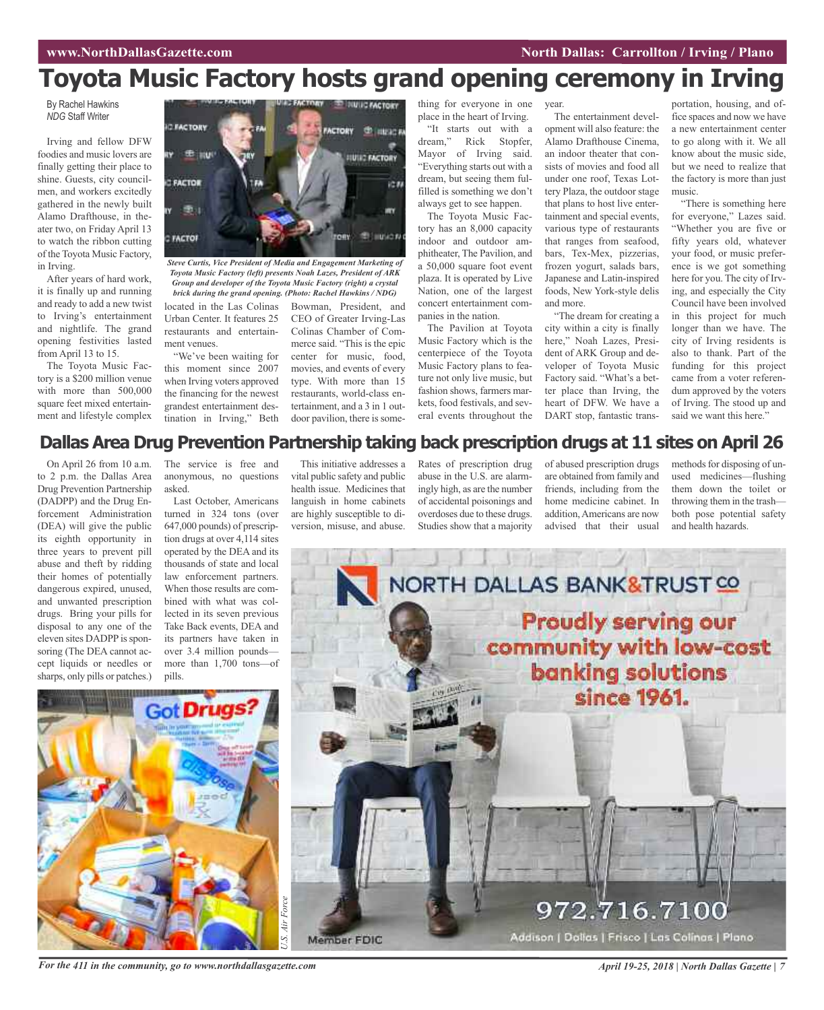# **Toyota Music Factory hosts grand opening ceremony in Irving**

By Rachel Hawkins *NDG* Staff Writer

Irving and fellow DFW foodies and music lovers are finally getting their place to shine. Guests, city councilmen, and workers excitedly gathered in the newly built Alamo Drafthouse, in theater two, on Friday April 13 to watch the ribbon cutting of the Toyota Music Factory, in Irving.

After years of hard work, it is finally up and running and ready to add a new twist to Irving's entertainment and nightlife. The grand opening festivities lasted from April 13 to 15.

The Toyota Music Factory is a \$200 million venue with more than 500,000 square feet mixed entertainment and lifestyle complex



*Toyota Music Factory (left) presents Noah Lazes, President of ARK Group and developer of the Toyota Music Factory (right) a crystal brick during the grand opening. (Photo: Rachel Hawkins / NDG)*

located in the Las Colinas Urban Center. It features 25 restaurants and entertainment venues.

"We've been waiting for this moment since 2007 when Irving voters approved the financing for the newest grandest entertainment destination in Irving," Beth

dream," Rick Stopfer, Mayor of Irving said. "Everything starts out with a dream, but seeing them fulfilled is something we don't always get to see happen. The Toyota Music Factory has an 8,000 capacity

indoor and outdoor amphitheater, The Pavilion, and a 50,000 square foot event plaza. It is operated by Live Nation, one of the largest concert entertainment companies in the nation.

thing for everyone in one place in the heart of Irving. "It starts out with a

The Pavilion at Toyota Music Factory which is the centerpiece of the Toyota Music Factory plans to feature not only live music, but fashion shows, farmers markets, food festivals, and several events throughout the

#### year.

The entertainment development will also feature: the Alamo Drafthouse Cinema, an indoor theater that consists of movies and food all under one roof, Texas Lottery Plaza, the outdoor stage that plans to host live entertainment and special events, various type of restaurants that ranges from seafood, bars, Tex-Mex, pizzerias, frozen yogurt, salads bars, Japanese and Latin-inspired foods, New York-style delis and more.

"The dream for creating a city within a city is finally here," Noah Lazes, President of ARK Group and developer of Toyota Music Factory said. "What's a better place than Irving, the heart of DFW. We have a DART stop, fantastic trans-

portation, housing, and office spaces and now we have a new entertainment center to go along with it. We all know about the music side, but we need to realize that the factory is more than just music.

"There is something here for everyone," Lazes said. "Whether you are five or fifty years old, whatever your food, or music preference is we got something here for you. The city of Irving, and especially the City Council have been involved in this project for much longer than we have. The city of Irving residents is also to thank. Part of the funding for this project came from a voter referendum approved by the voters of Irving. The stood up and said we want this here."

## **Dallas Area Drug Prevention Partnership taking back prescription drugs at 11 sites on April 26**

On April 26 from 10 a.m. to 2 p.m. the Dallas Area Drug Prevention Partnership (DADPP) and the Drug Enforcement Administration (DEA) will give the public its eighth opportunity in three years to prevent pill abuse and theft by ridding their homes of potentially dangerous expired, unused, and unwanted prescription drugs. Bring your pills for disposal to any one of the eleven sites DADPP is sponsoring (The DEA cannot accept liquids or needles or sharps, only pills or patches.) The service is free and anonymous, no questions asked.

Last October, Americans turned in 324 tons (over 647,000 pounds) of prescription drugs at over 4,114 sites operated by the DEA and its thousands of state and local law enforcement partners. When those results are combined with what was collected in its seven previous Take Back events, DEA and its partners have taken in over 3.4 million pounds more than 1,700 tons—of pills.

This initiative addresses a vital public safety and public health issue. Medicines that languish in home cabinets are highly susceptible to diversion, misuse, and abuse.

Bowman, President, and CEO of Greater Irving-Las Colinas Chamber of Commerce said. "This is the epic center for music, food, movies, and events of every type. With more than 15 restaurants, world-class entertainment, and a 3 in 1 outdoor pavilion, there is some-

> Rates of prescription drug abuse in the U.S. are alarmingly high, as are the number of accidental poisonings and overdoses due to these drugs. Studies show that a majority

of abused prescription drugs are obtained from family and friends, including from the home medicine cabinet. In addition,Americans are now advised that their usual

methods for disposing of unused medicines—flushing them down the toilet or throwing them in the trash both pose potential safety and health hazards.



For the 411 in the community, go to www.northdallasgazette.com April 19-25, 2018 | North Dallas Gazette | 7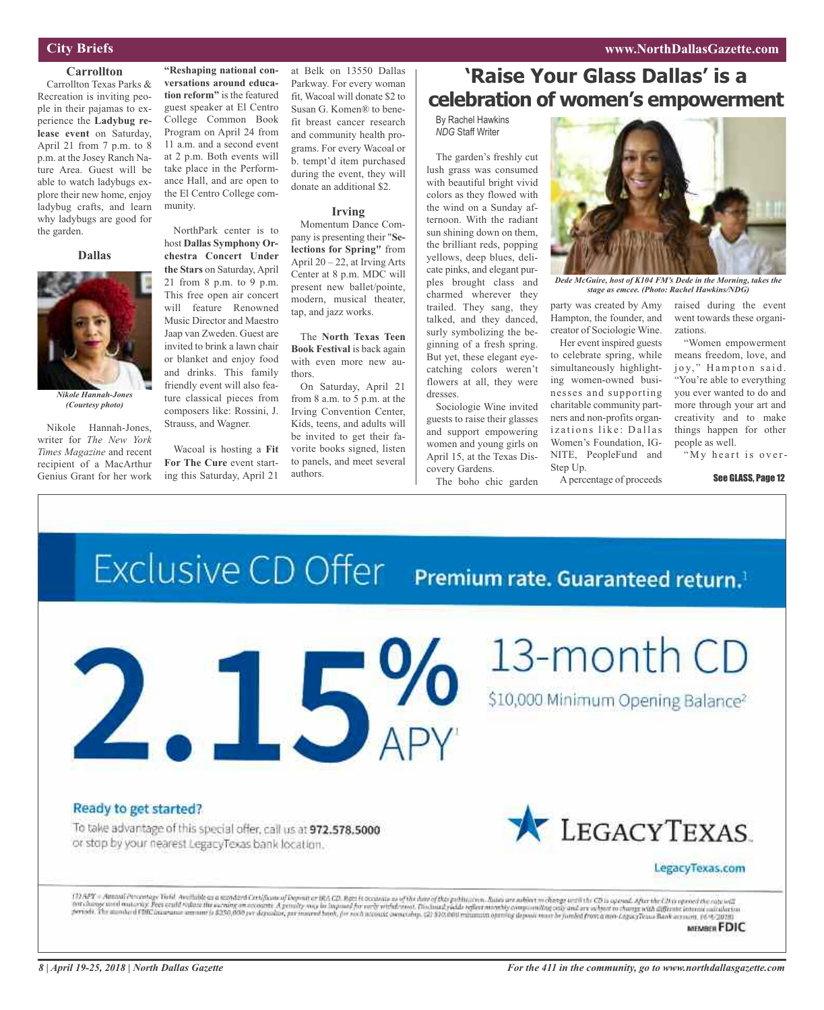### **www.NorthDallasGazette.com**

## **City Briefs**

#### **Carrollton**

Carrollton Texas Parks & Recreation is inviting people in their pajamas to experience the **Ladybug release event** on Saturday, April 21 from 7 p.m. to 8 p.m. at the Josey Ranch Nature Area. Guest will be able to watch ladybugs explore their new home, enjoy ladybug crafts, and learn why ladybugs are good for the garden.

#### **Dallas**



*Nikole Hannah-Jones (Courtesy photo)*

Nikole Hannah-Jones, writer for *The New York Times Magazine* and recent recipient of a MacArthur Genius Grant for her work

**"Reshaping national conversations around education reform"** is the featured guest speaker at El Centro College Common Book Program on April 24 from 11 a.m. and a second event at 2 p.m. Both events will take place in the Performance Hall, and are open to the El Centro College community.

NorthPark center is to host **Dallas Symphony Orchestra Concert Under the Stars** on Saturday, April 21 from 8 p.m. to 9 p.m. This free open air concert will feature Renowned Music Director and Maestro Jaap van Zweden. Guest are invited to brink a lawn chair or blanket and enjoy food and drinks. This family friendly event will also feature classical pieces from composers like: Rossini, J. Strauss, and Wagner.

Wacoal is hosting a **Fit For The Cure** event starting this Saturday, April 21

at Belk on 13550 Dallas Parkway. For every woman fit, Wacoal will donate \$2 to Susan G. Komen® to benefit breast cancer research and community health programs. For every Wacoal or b. tempt'd item purchased during the event, they will donate an additional \$2.

#### **Irving**

Momentum Dance Company is presenting their "**Selections for Spring"** from April 20 – 22, at Irving Arts Center at 8 p.m. MDC will present new ballet/pointe, modern, musical theater, tap, and jazz works.

The **North Texas Teen Book Festival** is back again with even more new authors.

On Saturday, April 21 from 8 a.m. to 5 p.m. at the Irving Convention Center, Kids, teens, and adults will be invited to get their favorite books signed, listen to panels, and meet several authors.

# **'Raise Your Glass Dallas' is a celebration of women's empowerment**

By Rachel Hawkins *NDG* Staff Writer

The garden's freshly cut lush grass was consumed with beautiful bright vivid colors as they flowed with the wind on a Sunday afternoon. With the radiant sun shining down on them, the brilliant reds, popping yellows, deep blues, delicate pinks, and elegant purples brought class and charmed wherever they trailed. They sang, they talked, and they danced, surly symbolizing the beginning of a fresh spring. But yet, these elegant eyecatching colors weren't flowers at all, they were dresses.

Sociologie Wine invited guests to raise their glasses and support empowering women and young girls on April 15, at the Texas Discovery Gardens.

The boho chic garden



*Dede McGuire, host of K104 FM's Dede in the Morning, takes the stage as emcee. (Photo: Rachel Hawkins/NDG)*

party was created by Amy Hampton, the founder, and creator of Sociologie Wine.

Her event inspired guests to celebrate spring, while simultaneously highlighting women-owned businesses and supporting charitable community partners and non-profits organizations like: Dallas Women's Foundation, IG-NITE, PeopleFund and Step Up.

A percentage of proceeds

raised during the event went towards these organizations.

"Women empowerment means freedom, love, and joy," Hampton said. "You're able to everything you ever wanted to do and more through your art and creativity and to make things happen for other people as well.

"My heart is over-

See GLASS, Page 12

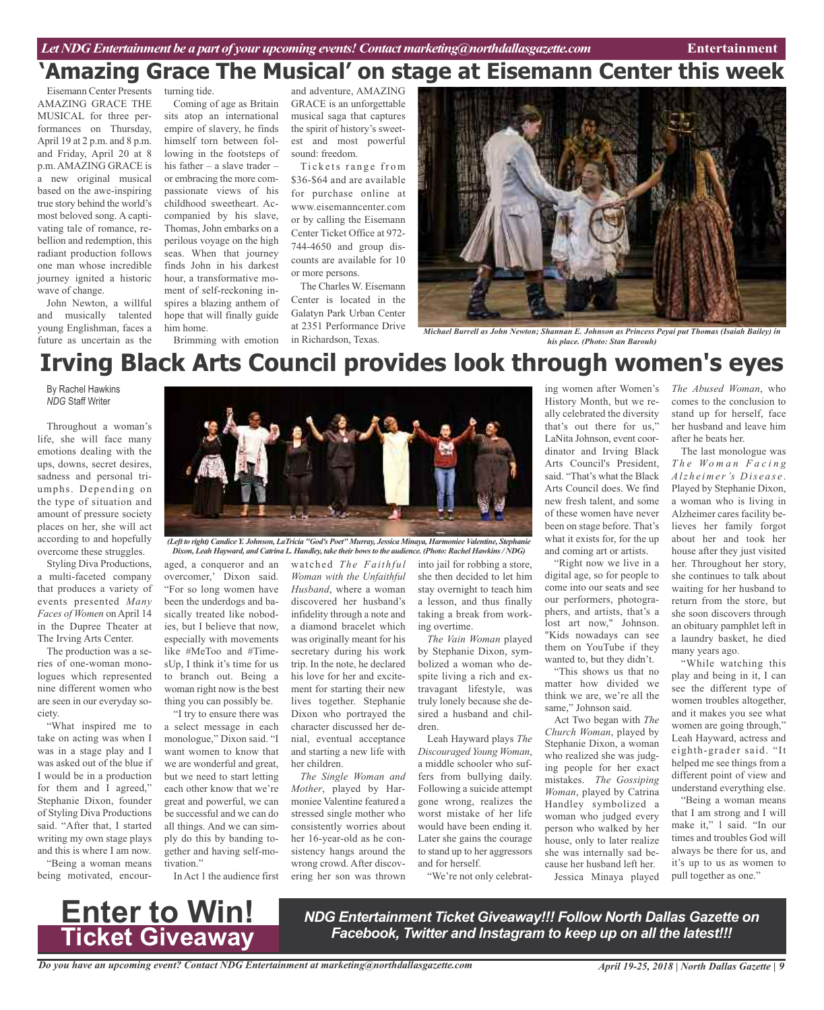# turning tide. **'Amazing Grace The Musical' on stage at Eisemann Center this week**

Eisemann Center Presents AMAZING GRACE THE MUSICAL for three performances on Thursday, April 19 at 2 p.m. and 8 p.m. and Friday, April 20 at 8 p.m. AMAZING GRACE is a new original musical based on the awe-inspiring true story behind the world's most beloved song. A captivating tale of romance, rebellion and redemption, this radiant production follows one man whose incredible journey ignited a historic wave of change.

John Newton, a willful and musically talented young Englishman, faces a future as uncertain as the

Coming of age as Britain sits atop an international empire of slavery, he finds himself torn between following in the footsteps of his father – a slave trader – or embracing the more compassionate views of his childhood sweetheart. Accompanied by his slave, Thomas, John embarks on a perilous voyage on the high seas. When that journey finds John in his darkest hour, a transformative moment of self-reckoning in-

spires a blazing anthem of hope that will finally guide him home.

Brimming with emotion

and adventure, AMAZING GRACE is an unforgettable musical saga that captures the spirit of history's sweetest and most powerful sound: freedom.

Tickets range from \$36-\$64 and are available for purchase online at www.eisemanncenter.com or by calling the Eisemann Center Ticket Office at 972- 744-4650 and group discounts are available for 10 or more persons.

The Charles W. Eisemann Center is located in the Galatyn Park Urban Center at 2351 Performance Drive in Richardson, Texas.



*Michael Burrell as John Newton; Shannan E. Johnson as Princess Peyai put Thomas (Isaiah Bailey) in his place. (Photo: Stan Barouh)*

# **Irving Black Arts Council provides look through women's eyes**

By Rachel Hawkins *NDG* Staff Writer

Throughout a woman's life, she will face many emotions dealing with the ups, downs, secret desires, sadness and personal triumphs. Depending on the type of situation and amount of pressure society places on her, she will act according to and hopefully overcome these struggles.

Styling Diva Productions, a multi-faceted company that produces a variety of events presented *Many Faces of Women* on April 14 in the Dupree Theater at The Irving Arts Center.

The production was a series of one-woman monologues which represented nine different women who are seen in our everyday society.

"What inspired me to take on acting was when I was in a stage play and I was asked out of the blue if I would be in a production for them and I agreed," Stephanie Dixon, founder of Styling Diva Productions said. "After that, I started writing my own stage plays and this is where I am now.

"Being a woman means being motivated, encour-



*Dixon, Leah Hayward, and Catrina L. Handley, take their bowsto the audience. (Photo: Rachel Hawkins/ NDG)*

aged, a conqueror and an overcomer,' Dixon said. "For so long women have been the underdogs and basically treated like nobodies, but I believe that now, especially with movements like #MeToo and #TimesUp, I think it's time for us to branch out. Being a woman right now is the best thing you can possibly be.

"I try to ensure there was a select message in each monologue," Dixon said. "I want women to know that we are wonderful and great, but we need to start letting each other know that we're great and powerful, we can be successful and we can do all things. And we can simply do this by banding together and having self-motivation."

In Act 1 the audience first

watched *The Faithful Woman with the Unfaithful Husband*, where a woman discovered her husband's infidelity through a note and a diamond bracelet which was originally meant for his secretary during his work trip. In the note, he declared his love for her and excitement for starting their new lives together. Stephanie Dixon who portrayed the character discussed her denial, eventual acceptance and starting a new life with her children.

*The Single Woman and Mother*, played by Harmoniee Valentine featured a stressed single mother who consistently worries about her 16-year-old as he consistency hangs around the wrong crowd. After discovering her son was thrown

into jail for robbing a store, she then decided to let him stay overnight to teach him a lesson, and thus finally taking a break from working overtime.

*The Vain Woman* played by Stephanie Dixon, symbolized a woman who despite living a rich and extravagant lifestyle, was truly lonely because she desired a husband and children.

Leah Hayward plays *The Discouraged Young Woman*, a middle schooler who suffers from bullying daily. Following a suicide attempt gone wrong, realizes the worst mistake of her life would have been ending it. Later she gains the courage to stand up to her aggressors and for herself.

"We're not only celebrat-

ing women after Women's History Month, but we really celebrated the diversity that's out there for us," LaNita Johnson, event coordinator and Irving Black Arts Council's President, said. "That's what the Black Arts Council does. We find new fresh talent, and some of these women have never been on stage before. That's what it exists for, for the up and coming art or artists.

"Right now we live in a digital age, so for people to come into our seats and see our performers, photographers, and artists, that's a lost art now," Johnson. "Kids nowadays can see them on YouTube if they wanted to, but they didn't.

"This shows us that no matter how divided we think we are, we're all the same," Johnson said.

Act Two began with *The Church Woman*, played by Stephanie Dixon, a woman who realized she was judging people for her exact mistakes. *The Gossiping Woman*, played by Catrina Handley symbolized a woman who judged every person who walked by her house, only to later realize she was internally sad because her husband left her. Jessica Minaya played *The Abused Woman*, who comes to the conclusion to stand up for herself, face her husband and leave him after he beats her.

The last monologue was *T h e Wo m a n F a c i n g Alz h e ime r's Dis e a s e* . Played by Stephanie Dixon, a woman who is living in Alzheimer cares facility believes her family forgot about her and took her house after they just visited her. Throughout her story, she continues to talk about waiting for her husband to return from the store, but she soon discovers through an obituary pamphlet left in a laundry basket, he died many years ago.

"While watching this play and being in it, I can see the different type of women troubles altogether, and it makes you see what women are going through," Leah Hayward, actress and eighth-grader said. "It helped me see things from a different point of view and understand everything else.

"Being a woman means that I am strong and I will make it," l said. "In our times and troubles God will always be there for us, and it's up to us as women to pull together as one."



*NDG Entertainment Ticket Giveaway!!! Follow North Dallas Gazette on Facebook, Twitter and Instagram to keep up on all the latest!!!*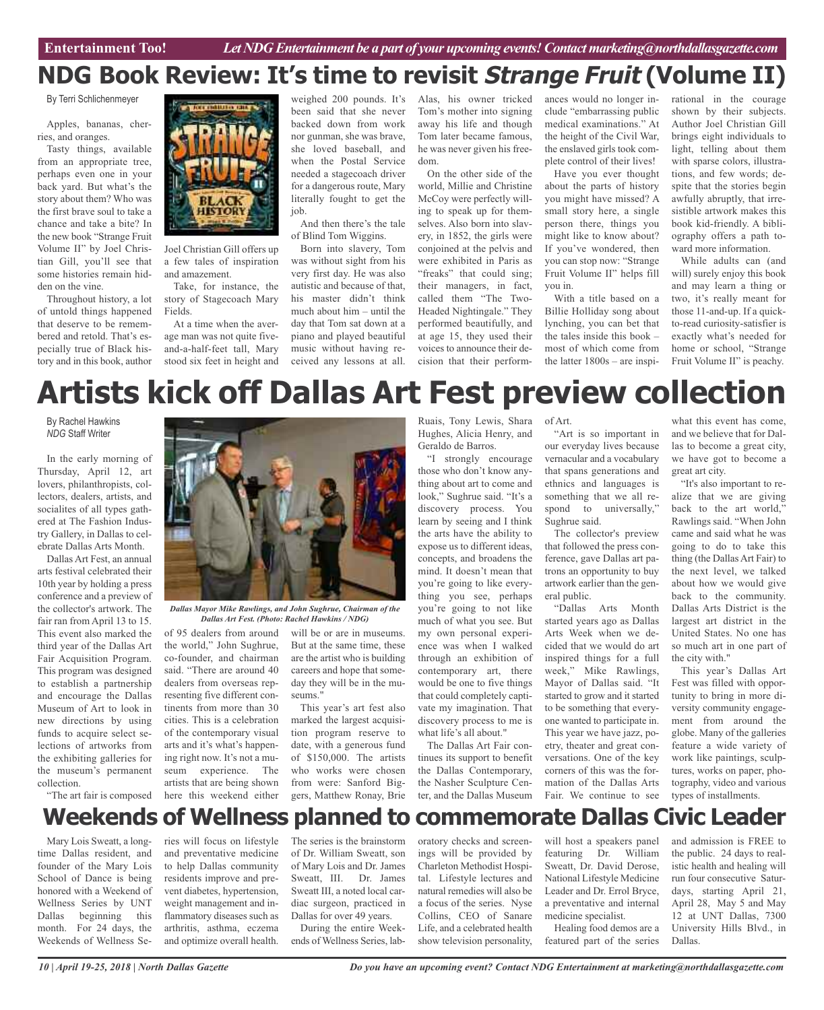# **NDG Book Review: It's time to revisit Strange Fruit (Volume II)**

By Terri Schlichenmeyer

Apples, bananas, cherries, and oranges.

Tasty things, available from an appropriate tree, perhaps even one in your back yard. But what's the story about them? Who was the first brave soul to take a chance and take a bite? In the new book "Strange Fruit Volume II" by Joel Christian Gill, you'll see that some histories remain hidden on the vine.

Throughout history, a lot of untold things happened that deserve to be remembered and retold. That's especially true of Black history and in this book, author



Joel Christian Gill offers up a few tales of inspiration and amazement.

Take, for instance, the story of Stagecoach Mary Fields.

At a time when the average man was not quite fiveand-a-half-feet tall, Mary stood six feet in height and weighed 200 pounds. It's been said that she never backed down from work nor gunman, she was brave, she loved baseball, and when the Postal Service needed a stagecoach driver for a dangerous route, Mary literally fought to get the job.

And then there's the tale of Blind Tom Wiggins.

Born into slavery, Tom was without sight from his very first day. He was also autistic and because of that, his master didn't think much about him – until the day that Tom sat down at a piano and played beautiful music without having received any lessons at all.

Alas, his owner tricked Tom's mother into signing away his life and though Tom later became famous, he was never given his freedom.

On the other side of the world, Millie and Christine McCoy were perfectly willing to speak up for themselves. Also born into slavery, in 1852, the girls were conjoined at the pelvis and were exhibited in Paris as "freaks" that could sing; their managers, in fact, called them "The Two-Headed Nightingale." They performed beautifully, and at age 15, they used their voices to announce their decision that their performances would no longer include "embarrassing public medical examinations." At the height of the Civil War, the enslaved girls took complete control of their lives!

Have you ever thought about the parts of history you might have missed? A small story here, a single person there, things you might like to know about? If you've wondered, then you can stop now: "Strange Fruit Volume II" helps fill you in.

With a title based on a Billie Holliday song about lynching, you can bet that the tales inside this book – most of which come from the latter 1800s – are inspirational in the courage shown by their subjects. Author Joel Christian Gill brings eight individuals to light, telling about them with sparse colors, illustrations, and few words; despite that the stories begin awfully abruptly, that irresistible artwork makes this book kid-friendly. A bibliography offers a path toward more information.

While adults can (and will) surely enjoy this book and may learn a thing or two, it's really meant for those 11-and-up. If a quickto-read curiosity-satisfier is exactly what's needed for home or school, "Strange Fruit Volume II" is peachy.

# **Artists kick off Dallas Art Fest preview collection**

By Rachel Hawkins *NDG* Staff Writer

In the early morning of Thursday, April 12, art lovers, philanthropists, collectors, dealers, artists, and socialites of all types gathered at The Fashion Industry Gallery, in Dallas to celebrate Dallas Arts Month.

Dallas Art Fest, an annual arts festival celebrated their 10th year by holding a press conference and a preview of the collector's artwork. The fair ran from April 13 to 15. This event also marked the third year of the Dallas Art Fair Acquisition Program. This program was designed to establish a partnership and encourage the Dallas Museum of Art to look in new directions by using funds to acquire select selections of artworks from the exhibiting galleries for the museum's permanent collection.

"The art fair is composed



*Dallas Mayor Mike Rawlings, and John Sughrue, Chairman of the Dallas Art Fest. (Photo: Rachel Hawkins / NDG)*

of 95 dealers from around the world," John Sughrue, co-founder, and chairman said. "There are around 40 dealers from overseas representing five different continents from more than 30 cities. This is a celebration of the contemporary visual arts and it's what's happening right now. It's not a museum experience. The artists that are being shown here this weekend either

will be or are in museums. But at the same time, these are the artist who is building careers and hope that someday they will be in the museums."

This year's art fest also marked the largest acquisition program reserve to date, with a generous fund of \$150,000. The artists who works were chosen from were: Sanford Biggers, Matthew Ronay, Brie

Ruais, Tony Lewis, Shara Hughes, Alicia Henry, and Geraldo de Barros.

"I strongly encourage those who don't know anything about art to come and look," Sughrue said. "It's a discovery process. You learn by seeing and I think the arts have the ability to expose us to different ideas, concepts, and broadens the mind. It doesn't mean that you're going to like everything you see, perhaps you're going to not like much of what you see. But my own personal experience was when I walked through an exhibition of contemporary art, there would be one to five things that could completely captivate my imagination. That discovery process to me is what life's all about."

The Dallas Art Fair continues its support to benefit the Dallas Contemporary, the Nasher Sculpture Center, and the Dallas Museum

of Art.

"Art is so important in our everyday lives because vernacular and a vocabulary that spans generations and ethnics and languages is something that we all respond to universally," Sughrue said.

The collector's preview that followed the press conference, gave Dallas art patrons an opportunity to buy artwork earlier than the general public.

"Dallas Arts Month started years ago as Dallas Arts Week when we decided that we would do art inspired things for a full week," Mike Rawlings, Mayor of Dallas said. "It started to grow and it started to be something that everyone wanted to participate in. This year we have jazz, poetry, theater and great conversations. One of the key corners of this was the formation of the Dallas Arts Fair. We continue to see

what this event has come, and we believe that for Dallas to become a great city, we have got to become a great art city.

"It's also important to realize that we are giving back to the art world," Rawlings said. "When John came and said what he was going to do to take this thing (the Dallas Art Fair) to the next level, we talked about how we would give back to the community. Dallas Arts District is the largest art district in the United States. No one has so much art in one part of the city with."

This year's Dallas Art Fest was filled with opportunity to bring in more diversity community engagement from around the globe. Many of the galleries feature a wide variety of work like paintings, sculptures, works on paper, photography, video and various types of installments.

# **Weekends of Wellness planned to commemorate Dallas Civic Leader**

Mary Lois Sweatt, a longtime Dallas resident, and founder of the Mary Lois School of Dance is being honored with a Weekend of Wellness Series by UNT Dallas beginning this month. For 24 days, the Weekends of Wellness Series will focus on lifestyle and preventative medicine to help Dallas community residents improve and prevent diabetes, hypertension, weight management and inflammatory diseases such as arthritis, asthma, eczema and optimize overall health.

The series is the brainstorm of Dr. William Sweatt, son of Mary Lois and Dr. James Sweatt, III. Dr. James Sweatt III, a noted local cardiac surgeon, practiced in Dallas for over 49 years.

During the entire Weekends of Wellness Series, lab-

oratory checks and screenings will be provided by Charleton Methodist Hospital. Lifestyle lectures and natural remedies will also be a focus of the series. Nyse Collins, CEO of Sanare Life, and a celebrated health show television personality,

will host a speakers panel featuring Dr. William Sweatt, Dr. David Derose, National Lifestyle Medicine Leader and Dr. Errol Bryce, a preventative and internal medicine specialist.

Healing food demos are a featured part of the series and admission is FREE to the public. 24 days to realistic health and healing will run four consecutive Saturdays, starting April 21, April 28, May 5 and May 12 at UNT Dallas, 7300 University Hills Blvd., in Dallas.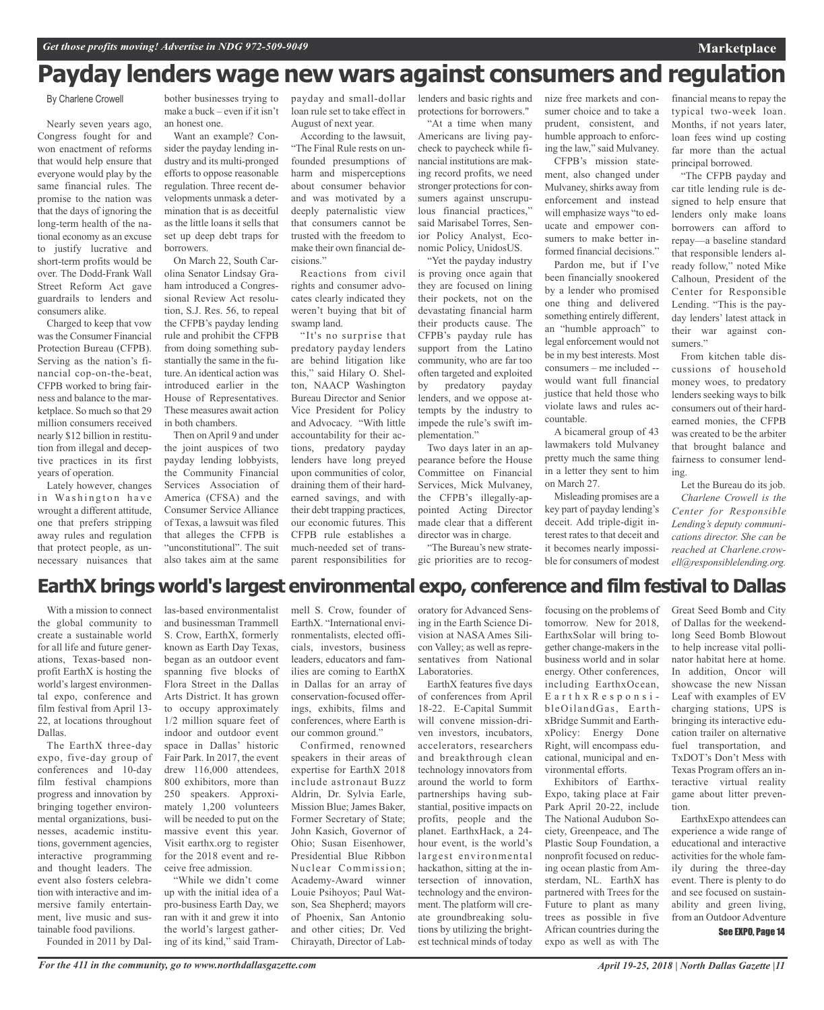# **Payday lenders wage new wars against consumers and regulation**

By Charlene Crowell

Nearly seven years ago, Congress fought for and won enactment of reforms that would help ensure that everyone would play by the same financial rules. The promise to the nation was that the days of ignoring the long-term health of the national economy as an excuse to justify lucrative and short-term profits would be over. The Dodd-Frank Wall Street Reform Act gave guardrails to lenders and consumers alike.

Charged to keep that vow was the Consumer Financial Protection Bureau (CFPB). Serving as the nation's financial cop-on-the-beat, CFPB worked to bring fairness and balance to the marketplace. So much so that 29 million consumers received nearly \$12 billion in restitution from illegal and deceptive practices in its first years of operation.

Lately however, changes in Washington have wrought a different attitude, one that prefers stripping away rules and regulation that protect people, as unnecessary nuisances that

bother businesses trying to make a buck – even if it isn't an honest one.

Want an example? Consider the payday lending industry and its multi-pronged efforts to oppose reasonable regulation. Three recent developments unmask a determination that is as deceitful as the little loans it sells that set up deep debt traps for borrowers.

On March 22, South Carolina Senator Lindsay Graham introduced a Congressional Review Act resolution, S.J. Res. 56, to repeal the CFPB's payday lending rule and prohibit the CFPB from doing something substantially the same in the future.An identical action was introduced earlier in the House of Representatives. These measures await action in both chambers.

Then onApril 9 and under the joint auspices of two payday lending lobbyists, the Community Financial Services Association of America (CFSA) and the Consumer Service Alliance of Texas, a lawsuit was filed that alleges the CFPB is "unconstitutional". The suit also takes aim at the same

payday and small-dollar lenders and basic rights and loan rule set to take effect in August of next year.

According to the lawsuit, "The Final Rule rests on unfounded presumptions of harm and misperceptions about consumer behavior and was motivated by a deeply paternalistic view that consumers cannot be trusted with the freedom to make their own financial decisions."

Reactions from civil rights and consumer advocates clearly indicated they weren't buying that bit of swamp land.

"It's no surprise that predatory payday lenders are behind litigation like this," said Hilary O. Shelton, NAACP Washington Bureau Director and Senior Vice President for Policy and Advocacy. "With little accountability for their actions, predatory payday lenders have long preyed upon communities of color, draining them of their hardearned savings, and with their debt trapping practices, our economic futures. This CFPB rule establishes a much-needed set of transparent responsibilities for

protections for borrowers."

"At a time when many Americans are living paycheck to paycheck while financial institutions are making record profits, we need stronger protections for consumers against unscrupulous financial practices," said Marisabel Torres, Senior Policy Analyst, Economic Policy, UnidosUS.

"Yet the payday industry is proving once again that they are focused on lining their pockets, not on the devastating financial harm their products cause. The CFPB's payday rule has support from the Latino community, who are far too often targeted and exploited by predatory payday lenders, and we oppose attempts by the industry to impede the rule's swift implementation."

Two days later in an appearance before the House Committee on Financial Services, Mick Mulvaney, the CFPB's illegally-appointed Acting Director made clear that a different director was in charge.

"The Bureau's new strategic priorities are to recognize free markets and consumer choice and to take a prudent, consistent, and humble approach to enforcing the law," said Mulvaney.

CFPB's mission statement, also changed under Mulvaney, shirks away from enforcement and instead will emphasize ways "to educate and empower consumers to make better informed financial decisions."

Pardon me, but if I've been financially snookered by a lender who promised one thing and delivered something entirely different, an "humble approach" to legal enforcement would not be in my best interests. Most consumers – me included - would want full financial justice that held those who violate laws and rules accountable.

A bicameral group of 43 lawmakers told Mulvaney pretty much the same thing in a letter they sent to him on March 27.

Misleading promises are a key part of payday lending's deceit. Add triple-digit interest rates to that deceit and it becomes nearly impossible for consumers of modest

financial means to repay the typical two-week loan. Months, if not years later, loan fees wind up costing far more than the actual principal borrowed.

**Marketplace**

"The CFPB payday and car title lending rule is designed to help ensure that lenders only make loans borrowers can afford to repay—a baseline standard that responsible lenders already follow," noted Mike Calhoun, President of the Center for Responsible Lending. "This is the payday lenders' latest attack in their war against consumers."

From kitchen table discussions of household money woes, to predatory lenders seeking ways to bilk consumers out of their hardearned monies, the CFPB was created to be the arbiter that brought balance and fairness to consumer lending.

Let the Bureau do its job. *Charlene Crowell is the Center for Responsible Lending's deputy communications director. She can be reached at Charlene.crowell@responsiblelending.org.*

# **EarthX brings world's largest environmental expo, conference and film festival to Dallas**

With a mission to connect the global community to create a sustainable world for all life and future generations, Texas-based nonprofit EarthX is hosting the world's largest environmental expo, conference and film festival from April 13- 22, at locations throughout Dallas.

The EarthX three-day expo, five-day group of conferences and 10-day film festival champions progress and innovation by bringing together environmental organizations, businesses, academic institutions, government agencies, interactive programming and thought leaders. The event also fosters celebration with interactive and immersive family entertainment, live music and sustainable food pavilions.

Founded in 2011 by Dal-

las-based environmentalist and businessman Trammell S. Crow, EarthX, formerly known as Earth Day Texas, began as an outdoor event spanning five blocks of Flora Street in the Dallas Arts District. It has grown to occupy approximately 1/2 million square feet of indoor and outdoor event space in Dallas' historic Fair Park. In 2017, the event drew 116,000 attendees, 800 exhibitors, more than 250 speakers. Approximately 1,200 volunteers will be needed to put on the massive event this year. Visit earthx.org to register for the 2018 event and receive free admission. "While we didn't come

up with the initial idea of a pro-business Earth Day, we ran with it and grew it into the world's largest gathering of its kind," said Trammell S. Crow, founder of EarthX. "International environmentalists, elected officials, investors, business leaders, educators and families are coming to EarthX in Dallas for an array of conservation-focused offerings, exhibits, films and conferences, where Earth is our common ground."

Confirmed, renowned speakers in their areas of expertise for EarthX 2018 include astronaut Buzz Aldrin, Dr. Sylvia Earle, Mission Blue; James Baker, Former Secretary of State; John Kasich, Governor of Ohio; Susan Eisenhower, Presidential Blue Ribbon Nuclear Commission; Academy-Award winner Louie Psihoyos; Paul Watson, Sea Shepherd; mayors of Phoenix, San Antonio and other cities; Dr. Ved Chirayath, Director of Laboratory for Advanced Sensing in the Earth Science Division at NASA Ames Silicon Valley; as well as representatives from National Laboratories.

EarthX features five days of conferences from April 18-22. E-Capital Summit will convene mission-driven investors, incubators, accelerators, researchers and breakthrough clean technology innovators from around the world to form partnerships having substantial, positive impacts on profits, people and the planet. EarthxHack, a 24 hour event, is the world's largest environmental hackathon, sitting at the intersection of innovation, technology and the environment. The platform will create groundbreaking solutions by utilizing the brightest technical minds of today

focusing on the problems of tomorrow. New for 2018, EarthxSolar will bring together change-makers in the business world and in solar energy. Other conferences, including EarthxOcean, E a r t h x R e s p o n s i bleOilandGas, EarthxBridge Summit and EarthxPolicy: Energy Done Right, will encompass educational, municipal and environmental efforts.

Exhibitors of Earthx-Expo, taking place at Fair Park April 20-22, include The National Audubon Society, Greenpeace, and The Plastic Soup Foundation, a nonprofit focused on reducing ocean plastic from Amsterdam, NL. EarthX has partnered with Trees for the Future to plant as many trees as possible in five African countries during the expo as well as with The

Great Seed Bomb and City of Dallas for the weekendlong Seed Bomb Blowout to help increase vital pollinator habitat here at home. In addition, Oncor will showcase the new Nissan Leaf with examples of EV charging stations, UPS is bringing its interactive education trailer on alternative fuel transportation, and TxDOT's Don't Mess with Texas Program offers an interactive virtual reality game about litter prevention.

EarthxExpo attendees can experience a wide range of educational and interactive activities for the whole family during the three-day event. There is plenty to do and see focused on sustainability and green living, from an Outdoor Adventure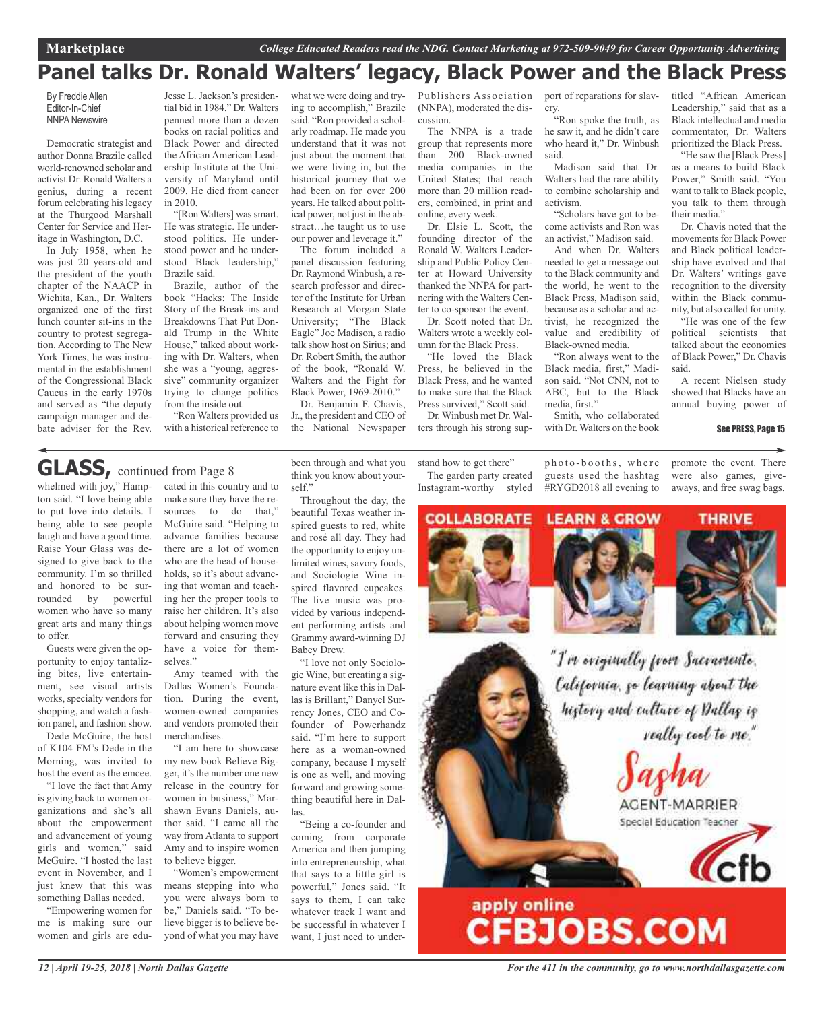# **Panel talks Dr. Ronald Walters' legacy, Black Power and the Black Press**

By Freddie Allen Editor-In-Chief NNPA Newswire

Democratic strategist and author Donna Brazile called world-renowned scholar and activist Dr. Ronald Walters a genius, during a recent forum celebrating hislegacy at the Thurgood Marshall Center for Service and Heritage in Washington, D.C.

In July 1958, when he was just 20 years-old and the president of the youth chapter of the NAACP in Wichita, Kan., Dr. Walters organized one of the first lunch counter sit-ins in the country to protest segregation. According to The New York Times, he was instrumental in the establishment of the Congressional Black Caucus in the early 1970s and served as "the deputy campaign manager and debate adviser for the Rev.

Jesse L. Jackson's presidential bid in 1984." Dr. Walters penned more than a dozen books on racial politics and Black Power and directed the African American Leadership Institute at the University of Maryland until 2009. He died from cancer in 2010.

"[Ron Walters] was smart. He was strategic. He understood politics. He understood power and he understood Black leadership," Brazile said.

Brazile, author of the book "Hacks: The Inside Story of the Break-ins and Breakdowns That Put Donald Trump in the White House," talked about working with Dr. Walters, when she was a "young, aggressive" community organizer trying to change politics from the inside out.

"Ron Walters provided us with a historical reference to what we were doing and trying to accomplish," Brazile said. "Ron provided a scholarly roadmap. He made you understand that it was not just about the moment that we were living in, but the historical journey that we had been on for over 200 years. He talked about political power, not just in the abstract…he taught us to use our power and leverage it."

The forum included a panel discussion featuring Dr. Raymond Winbush, a research professor and director of the Institute for Urban Research at Morgan State University; "The Black Eagle" Joe Madison, a radio talk show host on Sirius; and Dr. Robert Smith, the author of the book, "Ronald W. Walters and the Fight for Black Power, 1969-2010."

Dr. Benjamin F. Chavis, Jr., the president and CEO of the National Newspaper Publishers Association (NNPA), moderated the discussion.

The NNPA is a trade group that represents more than 200 Black-owned media companies in the United States; that reach more than 20 million readers, combined, in print and online, every week.

Dr. Elsie L. Scott, the founding director of the Ronald W. Walters Leadership and Public Policy Center at Howard University thanked the NNPA for partnering with the Walters Center to co-sponsor the event. Dr. Scott noted that Dr.

Walters wrote a weekly column for the Black Press. "He loved the Black

Press, he believed in the Black Press, and he wanted to make sure that the Black Press survived," Scott said. Dr. Winbush met Dr. Wal-

ters through his strong sup-

stand how to get there" The garden party created

port of reparations for slavery.

"Ron spoke the truth, as he saw it, and he didn't care who heard it," Dr. Winbush said.

Madison said that Dr. Walters had the rare ability to combine scholarship and activism.

"Scholars have got to become activists and Ron was an activist," Madison said.

And when Dr. Walters needed to get a message out to the Black community and the world, he went to the Black Press, Madison said, because as a scholar and activist, he recognized the value and credibility of Black-owned media.

"Ron always went to the Black media, first," Madison said. "Not CNN, not to ABC, but to the Black media, first."

Smith, who collaborated with Dr. Walters on the book titled "African American Leadership," said that as a Black intellectual and media commentator, Dr. Walters prioritized the Black Press.

"He saw the [Black Press] as a means to build Black Power," Smith said. "You want to talk to Black people, you talk to them through their media."

Dr. Chavis noted that the movements for Black Power and Black political leadership have evolved and that Dr. Walters' writings gave recognition to the diversity within the Black community, but also called for unity.

"He was one of the few political scientists that talked about the economics of Black Power," Dr. Chavis said.

A recent Nielsen study showed that Blacks have an annual buying power of

#### See PRESS, Page 15

**GLASS,** continued from Page <sup>8</sup>

whelmed with joy," Hampton said. "I love being able to put love into details. I being able to see people laugh and have a good time. Raise Your Glass was designed to give back to the community. I'm so thrilled and honored to be surrounded by powerful women who have so many great arts and many things to offer.

Guests were given the opportunity to enjoy tantalizing bites, live entertainment, see visual artists works, specialty vendors for shopping, and watch a fashion panel, and fashion show.

Dede McGuire, the host of K104 FM's Dede in the Morning, was invited to host the event as the emcee.

"I love the fact that Amy is giving back to women organizations and she's all about the empowerment and advancement of young girls and women," said McGuire. "I hosted the last event in November, and I just knew that this was something Dallas needed.

"Empowering women for me is making sure our women and girls are educated in this country and to make sure they have the resources to do that," McGuire said. "Helping to advance families because there are a lot of women who are the head of households, so it's about advancing that woman and teaching her the proper tools to raise her children. It's also about helping women move forward and ensuring they have a voice for themselves."

Amy teamed with the Dallas Women's Foundation. During the event, women-owned companies and vendors promoted their merchandises.

"I am here to showcase my new book Believe Bigger, it's the number one new release in the country for women in business," Marshawn Evans Daniels, author said. "I came all the way fromAtlanta to support Amy and to inspire women to believe bigger.

"Women's empowerment means stepping into who you were always born to be," Daniels said. "To believe bigger is to believe beyond of what you may have been through and what you think you know about yourself."

Throughout the day, the beautiful Texas weather inspired guests to red, white and rosé all day. They had the opportunity to enjoy unlimited wines, savory foods, and Sociologie Wine inspired flavored cupcakes. The live music was provided by various independent performing artists and Grammy award-winning DJ Babey Drew.

"I love not only Sociologie Wine, but creating a signature event like this in Dallas is Brillant," Danyel Surrency Jones, CEO and Cofounder of Powerhandz said. "I'm here to support here as a woman-owned company, because I myself is one as well, and moving forward and growing something beautiful here in Dallas.

"Being a co-founder and coming from corporate America and then jumping into entrepreneurship, what that says to a little girl is powerful," Jones said. "It says to them, I can take whatever track I want and be successful in whatever I want, I just need to underInstagram-worthy styled

photo-booths, where guests used the hashtag #RYGD2018 all evening to

promote the event. There were also games, giveaways, and free swag bags.

**THRIVE** 

**COLLABORATE LEARN & GROW** 







"I've eviginally from Sacramente. California, go learning about the history and culture of Dallag is really cool to me."

AGENT-MARRIER Special Education Teacher



# apply online<br>CFBJOBS.COM

*12 | April 19-25, 2018 | North Dallas Gazette*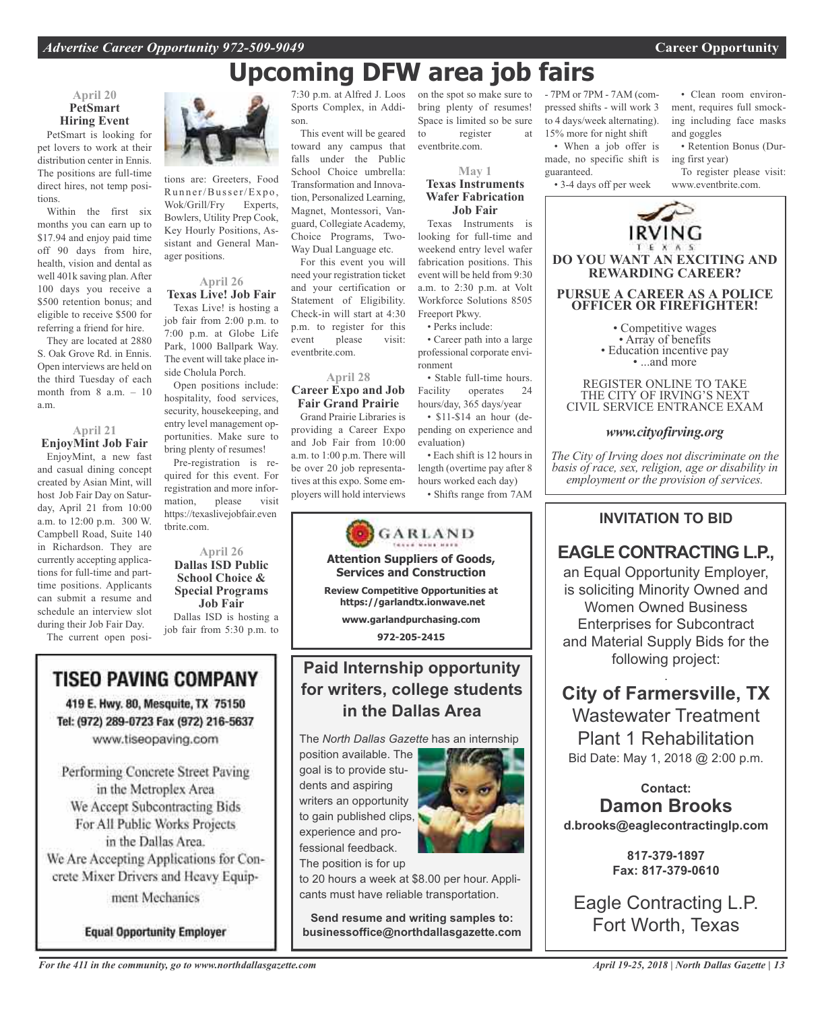pet lovers to work at their distribution center in Ennis. The positions are full-time direct hires, not temp positions.

Within the first six months you can earn up to \$17.94 and enjoy paid time off 90 days from hire, health, vision and dental as well 401k saving plan. After 100 days you receive a \$500 retention bonus; and eligible to receive \$500 for referring a friend for hire.

They are located at 2880 S. Oak Grove Rd. in Ennis. Open interviews are held on the third Tuesday of each month from  $8$  a.m.  $-10$ a.m.

## **April 21**

**EnjoyMint Job Fair** EnjoyMint, a new fast and casual dining concept created by Asian Mint, will host Job Fair Day on Saturday, April 21 from 10:00 a.m. to 12:00 p.m. 300 W. Campbell Road, Suite 140 in Richardson. They are currently accepting applications for full-time and parttime positions. Applicants can submit a resume and schedule an interview slot during their Job Fair Day.

The current open posi-

# **TISEO PAVING COMPANY**

419 E. Hwy. 80, Mesquite, TX 75150 Tel: (972) 289-0723 Fax (972) 216-5637 www.tiseopaving.com

Performing Concrete Street Paving in the Metroplex Area We Accept Subcontracting Bids For All Public Works Projects in the Dallas Area. We Are Accepting Applications for Concrete Mixer Drivers and Heavy Equipment Mechanics

**Equal Opportunity Employer** 



tions are: Greeters, Food Runner/Busser/Expo, Wok/Grill/Fry Experts, Bowlers, Utility Prep Cook, Key Hourly Positions, Assistant and General Manager positions.

# **April 26**

**Texas Live! Job Fair** Texas Live! is hosting a job fair from 2:00 p.m. to 7:00 p.m. at Globe Life Park, 1000 Ballpark Way. The event will take place inside Cholula Porch.

Open positions include: hospitality, food services, security, housekeeping, and entry level management opportunities. Make sure to bring plenty of resumes!

Pre-registration is required for this event. For registration and more information, please visit https://texaslivejobfair.even tbrite.com.

**April 26 Dallas ISD Public School Choice & Special Programs Job Fair** Dallas ISD is hosting a

job fair from 5:30 p.m. to

7:30 p.m. at Alfred J. Loos Sports Complex, in Addi-

This event will be geared toward any campus that falls under the Public School Choice umbrella: Transformation and Innovation, Personalized Learning, Magnet, Montessori, Vanguard, Collegiate Academy, Choice Programs, Two-Way Dual Language etc.

For this event you will need your registration ticket and your certification or Statement of Eligibility. Check-in will start at 4:30 p.m. to register for this event please visit: eventbrite.com.

## **April 28**

**Career Expo and Job Fair Grand Prairie**

Grand Prairie Libraries is providing a Career Expo and Job Fair from 10:00 a.m. to 1:00 p.m. There will be over 20 job representatives at this expo. Some employers will hold interviews



**May 1 Texas Instruments**

**Wafer Fabrication Job Fair** Texas Instruments is

looking for full-time and weekend entry level wafer fabrication positions. This event will be held from 9:30 a.m. to 2:30 p.m. at Volt Workforce Solutions 8505 Freeport Pkwy.

• Perks include:

• Career path into a large professional corporate environment

• Stable full-time hours. Facility operates 24 hours/day, 365 days/year

• \$11-\$14 an hour (depending on experience and evaluation)

• Each shift is 12 hours in length (overtime pay after 8 hours worked each day)

• Shifts range from 7AM



# **Paid Internship opportunity for writers, college students in the Dallas Area**

The *North Dallas Gazette* has an internship

position available. The goal is to provide students and aspiring writers an opportunity to gain published clips, experience and professional feedback. The position is for up



to 20 hours a week at \$8.00 per hour. Applicants must have reliable transportation.

**Send resume and writing samples to: businessoffice@northdallasgazette.com** - 7PM or 7PM - 7AM (compressed shifts - will work 3 to 4 days/week alternating). 15% more for night shift • When a job offer is

made, no specific shift is guaranteed. • 3-4 days off per week

• Clean room environment, requires full smocking including face masks and goggles

• Retention Bonus (During first year)

To register please visit: www.eventbrite.com.



• Competitive wages<br>• Array of benefits<br>• Education incentive pay<br>• ...and more

REGISTER ONLINE TO TAKE THE CITY OF IRVING'S NEXT CIVIL SERVICE ENTRANCE EXAM

*www.cityofirving.org*

*The City of Irving does not discriminate on the basis of race, sex, religion, age or disability in employment or the provision of services.*

## **INVITATION TO BID**

# **EAGLE CONTRACTING L.P.,**

an Equal Opportunity Employer, is soliciting Minority Owned and Women Owned Business Enterprises for Subcontract and Material Supply Bids for the following project:

. **City of Farmersville, TX** Wastewater Treatment Plant 1 Rehabilitation Bid Date: May 1, 2018 @ 2:00 p.m.

# **Contact: Damon Brooks**

**d.brooks@eaglecontractinglp.com**

**817-379-1897 Fax: 817-379-0610**

Eagle Contracting L.P. Fort Worth, Texas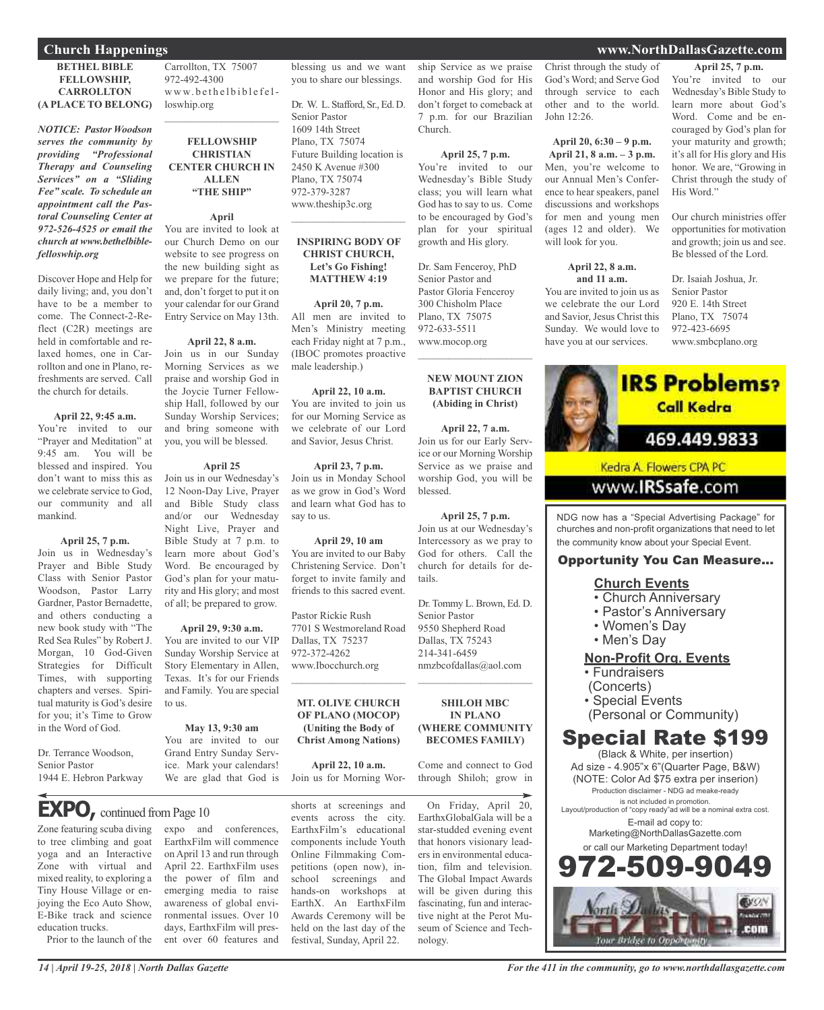## **Church Happenings www.NorthDallasGazette.com**

### **BETHEL BIBLE FELLOWSHIP, CARROLLTON (A PLACE TO BELONG)**

*NOTICE: Pastor Woodson serves the community by providing "Professional Therapy and Counseling Services" on a "Sliding Fee" scale. To schedule an appointment call the Pastoral Counseling Center at 972-526-4525 or email the church at www.bethelbiblefelloswhip.org*

Discover Hope and Help for daily living; and, you don't have to be a member to come. The Connect-2-Reflect (C2R) meetings are held in comfortable and relaxed homes, one in Carrollton and one in Plano, refreshments are served. Call the church for details.

#### **April 22, 9:45 a.m.**

You're invited to our "Prayer and Meditation" at 9:45 am. You will be blessed and inspired. You don't want to miss this as we celebrate service to God our community and all mankind.

#### **April 25, 7 p.m.**

Join us in Wednesday's Prayer and Bible Study Class with Senior Pastor Woodson, Pastor Larry Gardner, Pastor Bernadette, and others conducting a new book study with "The Red Sea Rules" by Robert J. Morgan, 10 God-Given Strategies for Difficult Times, with supporting chapters and verses. Spiritual maturity is God's desire for you; it's Time to Grow in the Word of God.

Dr. Terrance Woodson, Senior Pastor 1944 E. Hebron Parkway

Carrollton, TX 75007 972-492-4300 www.bethelbiblefelloswhip.org

## **FELLOWSHIP CHRISTIAN CENTER CHURCH IN ALLEN "THE SHIP"**

#### **April**

You are invited to look at our Church Demo on our website to see progress on the new building sight as we prepare for the future; and, don't forget to put it on your calendar for our Grand Entry Service on May 13th.

### **April 22, 8 a.m.**

Join us in our Sunday Morning Services as we praise and worship God in the Joycie Turner Fellowship Hall, followed by our Sunday Worship Services; and bring someone with you, you will be blessed.

#### **April 25**

Join us in our Wednesday's 12 Noon-Day Live, Prayer and Bible Study class and/or our Wednesday Night Live, Prayer and Bible Study at 7 p.m. to learn more about God's Word. Be encouraged by God's plan for your maturity and His glory; and most of all; be prepared to grow.

You are invited to our VIP Sunday Worship Service at Story Elementary in Allen, Texas. It's for our Friends and Family. You are special to us.

#### **May 13, 9:30 am**

You are invited to our Grand Entry Sunday Service. Mark your calendars! We are glad that God is

expo and conferences, EarthxFilm will commence on April 13 and run through April 22. EarthxFilm uses the power of film and emerging media to raise awareness of global environmental issues. Over 10 days, EarthxFilm will present over 60 features and

# **EXPO**, continued from Page 10

Zone featuring scuba diving to tree climbing and goat yoga and an Interactive Zone with virtual and mixed reality, to exploring a Tiny House Village or enjoying the Eco Auto Show, E-Bike track and science education trucks.

Prior to the launch of the

 $\mathcal{L}_\text{max}$  , which is a set of the set of the set of the set of the set of the set of the set of the set of the set of the set of the set of the set of the set of the set of the set of the set of the set of the set of

#### **April 29, 9:30 a.m.**

events across the city. EarthxFilm's educational components include Youth Online Filmmaking Competitions (open now), inschool screenings and hands-on workshops at EarthX. An EarthxFilm Awards Ceremony will be held on the last day of the festival, Sunday, April 22.

ship Service as we praise and worship God for His Honor and His glory; and don't forget to comeback at 7 p.m. for our Brazilian Church.

blessing us and we want you to share our blessings.

Dr. W. L. Stafford, Sr., Ed. D.

Future Building location is 2450 K Avenue #300 Plano, TX 75074 972-379-3287 www.theship3c.org

 $\overline{\phantom{a}}$  , which is a set of the set of the set of the set of the set of the set of the set of the set of the set of the set of the set of the set of the set of the set of the set of the set of the set of the set of th

**INSPIRING BODY OF CHRIST CHURCH, Let's Go Fishing! MATTHEW 4:19**

**April 20, 7 p.m.** All men are invited to Men's Ministry meeting each Friday night at 7 p.m., (IBOC promotes proactive

**April 22, 10 a.m.** You are invited to join us for our Morning Service as we celebrate of our Lord and Savior, Jesus Christ.

**April 23, 7 p.m.** Join us in Monday School as we grow in God's Word and learn what God has to

**April 29, 10 am** You are invited to our Baby Christening Service. Don't forget to invite family and friends to this sacred event.

7701 S Westmoreland Road

**MT. OLIVE CHURCH OF PLANO (MOCOP) (Uniting the Body of Christ Among Nations)**

**April 22, 10 a.m.** Join us for Morning Wor-

shorts at screenings and

Pastor Rickie Rush

Dallas, TX 75237 972-372-4262 www.Ibocchurch.org  $\overline{\phantom{a}}$  , and the set of the set of the set of the set of the set of the set of the set of the set of the set of the set of the set of the set of the set of the set of the set of the set of the set of the set of the s

male leadership.)

say to us.

Senior Pastor 1609 14th Street Plano, TX 75074

> **April 25, 7 p.m.** You're invited to our Wednesday's Bible Study class; you will learn what God has to say to us. Come to be encouraged by God's plan for your spiritual growth and His glory.

Dr. Sam Fenceroy, PhD Senior Pastor and Pastor Gloria Fenceroy 300 Chisholm Place Plano, TX 75075 972-633-5511 www.mocop.org

#### **NEW MOUNT ZION BAPTIST CHURCH (Abiding in Christ)**

 $\overline{\phantom{a}}$  , and the set of the set of the set of the set of the set of the set of the set of the set of the set of the set of the set of the set of the set of the set of the set of the set of the set of the set of the s

**April 22, 7 a.m.** Join us for our Early Service or our Morning Worship Service as we praise and worship God, you will be blessed.

**April 25, 7 p.m.** Join us at our Wednesday's Intercessory as we pray to God for others. Call the church for details for details.

Dr. Tommy L. Brown, Ed. D. Senior Pastor 9550 Shepherd Road Dallas, TX 75243 214-341-6459 nmzbcofdallas@aol.com

**SHILOH MBC IN PLANO (WHERE COMMUNITY BECOMES FAMILY)**

 $\overline{\phantom{a}}$  , and the set of the set of the set of the set of the set of the set of the set of the set of the set of the set of the set of the set of the set of the set of the set of the set of the set of the set of the s

Come and connect to God through Shiloh; grow in

On Friday, April 20, EarthxGlobalGala will be a star-studded evening event that honors visionary leaders in environmental education, film and television. The Global Impact Awards will be given during this fascinating, fun and interactive night at the Perot Museum of Science and Technology.

Christ through the study of God's Word; and Serve God through service to each other and to the world. John 12:26.

**April 20, 6:30 – 9 p.m. April 21, 8 a.m. – 3 p.m.** Men, you're welcome to our Annual Men's Conference to hear speakers, panel discussions and workshops for men and young men (ages 12 and older). We will look for you.

#### **April 22, 8 a.m. and 11 a.m.**

You are invited to join us as we celebrate the our Lord and Savior, Jesus Christ this Sunday. We would love to have you at our services.

## **April 25, 7 p.m.**

You're invited to our Wednesday's Bible Study to learn more about God's Word. Come and be encouraged by God's plan for your maturity and growth; it's all for His glory and His honor. We are, "Growing in Christ through the study of His Word."

Our church ministries offer opportunities for motivation and growth; join us and see. Be blessed of the Lord.

Dr. Isaiah Joshua, Jr. Senior Pastor 920 E. 14th Street Plano, TX 75074 972-423-6695 www.smbcplano.org



churches and non-profit organizations that need to let the community know about your Special Event.

### Opportunity You Can Measure...

#### **Church Events**

- Church Anniversary
- Pastor's Anniversary
- Women's Day
- Men's Day

## **Non-Profit Org. Events**

- Fundraisers
- (Concerts)
- Special Events
- (Personal or Community)

# Special Rate \$199

(Black & White, per insertion) Ad size - 4.905"x 6"(Quarter Page, B&W) (NOTE: Color Ad \$75 extra per inserion) Production disclaimer - NDG ad meake-ready is not included in promotion. Layout/production of "copy ready"ad will be a nominal extra cost. E-mail ad copy to: Marketing@NorthDallasGazette.com or call our Marketing Department today!



*14 | April 19-25, 2018 | North Dallas Gazette*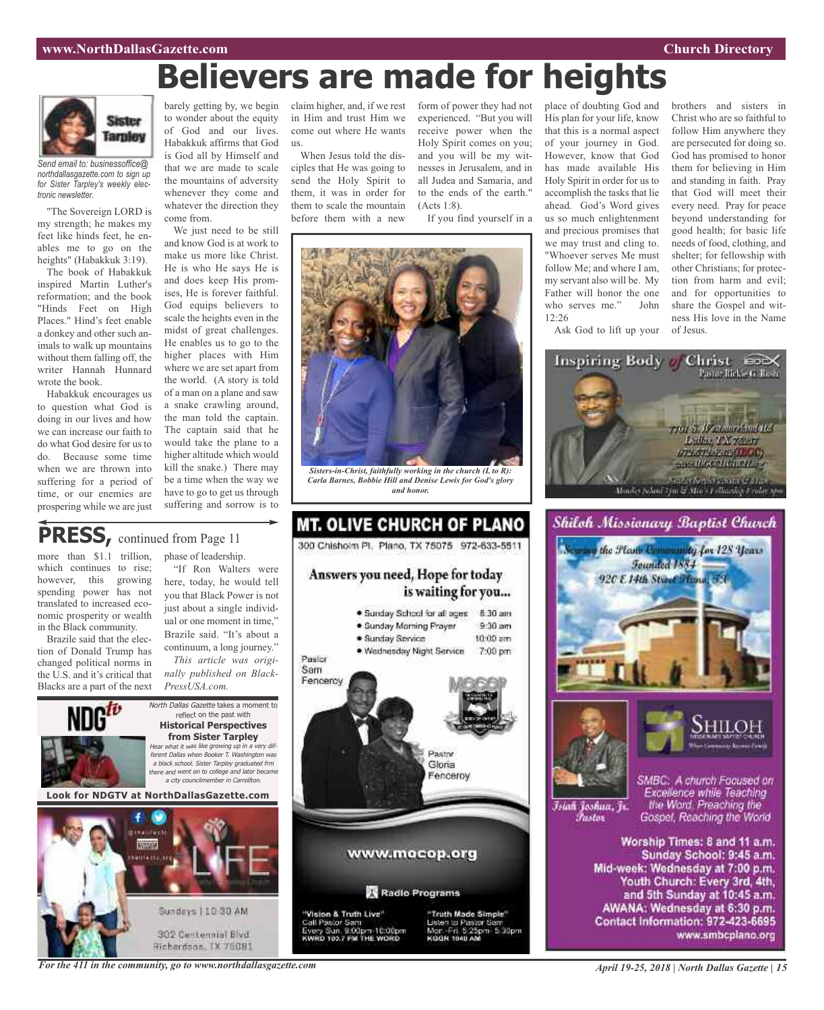#### **www.NorthDallasGazette.com Church Directory**

# **Believers are made for heights**



*Send email to: businessoffice@ northdallasgazette.com to sign up for Sister Tarpley's weekly electronic newsletter.*

"The Sovereign LORD is my strength; he makes my feet like hinds feet, he enables me to go on the heights" (Habakkuk 3:19).

The book of Habakkuk inspired Martin Luther's reformation; and the book "Hinds Feet on High Places." Hind's feet enable a donkey and other such animals to walk up mountains without them falling off, the writer Hannah Hunnard wrote the book.

Habakkuk encourages us to question what God is doing in our lives and how we can increase our faith to do what God desire for us to do. Because some time when we are thrown into suffering for a period of time, or our enemies are prospering while we are just

barely getting by, we begin claim higher, and, if we rest form of power they had not to wonder about the equity of God and our lives. Habakkuk affirms that God is God all by Himself and that we are made to scale the mountains of adversity whenever they come and whatever the direction they come from.

We just need to be still and know God is at work to make us more like Christ. He is who He says He is and does keep His promises, He is forever faithful. God equips believers to scale the heights even in the midst of great challenges. He enables us to go to the higher places with Him where we are set apart from the world. (A story is told of a man on a plane and saw a snake crawling around, the man told the captain. The captain said that he would take the plane to a higher altitude which would kill the snake.) There may be a time when the way we have to go to get us through suffering and sorrow is to

## in Him and trust Him we come out where He wants  $\overline{118}$ .

When Jesus told the disciples that He was going to send the Holy Spirit to them, it was in order for them to scale the mountain before them with a new

experienced. "But you will receive power when the Holy Spirit comes on you; and you will be my witnesses in Jerusalem, and in all Judea and Samaria, and to the ends of the earth." (Acts 1:8).

If you find yourself in a



*Sisters-in-Christ, faithfully working in the church (L to R): Carla Barnes, Bobbie Hill and Denise Lewis for God's glory and honor.*



more than \$1.1 trillion, which continues to rise; however, this growing spending power has not translated to increased economic prosperity or wealth in the Black community.

Brazile said that the election of Donald Trump has changed political norms in the U.S. and it's critical that Blacks are a part of the next phase of leadership.

"If Ron Walters were here, today, he would tell you that Black Power is not just about a single individual or one moment in time," Brazile said. "It's about a continuum, a long journey."

*This article was originally published on Black-PressUSA.com.*



**Look for NDGTV at NorthDallasGazette.com**







place of doubting God and

brothers and sisters in Christ who are so faithful to follow Him anywhere they are persecuted for doing so. God has promised to honor them for believing in Him and standing in faith. Pray that God will meet their every need. Pray for peace beyond understanding for good health; for basic life needs of food, clothing, and shelter; for fellowship with other Christians; for protection from harm and evil; and for opportunities to share the Gospel and witness His love in the Name of Jesus.





Īsiah Joshua, Jr. Fustor

SMBC: A church Focused on Excellence while Teaching the Word. Preaching the Gospel, Reaching the World

Worship Times: 8 and 11 a.m. Sunday School: 9:45 a.m. Mid-week: Wednesday at 7:00 p.m. Youth Church: Every 3rd, 4th, and 5th Sunday at 10:45 a.m. AWANA: Wednesday at 6:30 p.m. Contact Information: 972-423-6695 www.smbcplano.org

*For the 411 in the community, go to www.northdallasgazette.com*